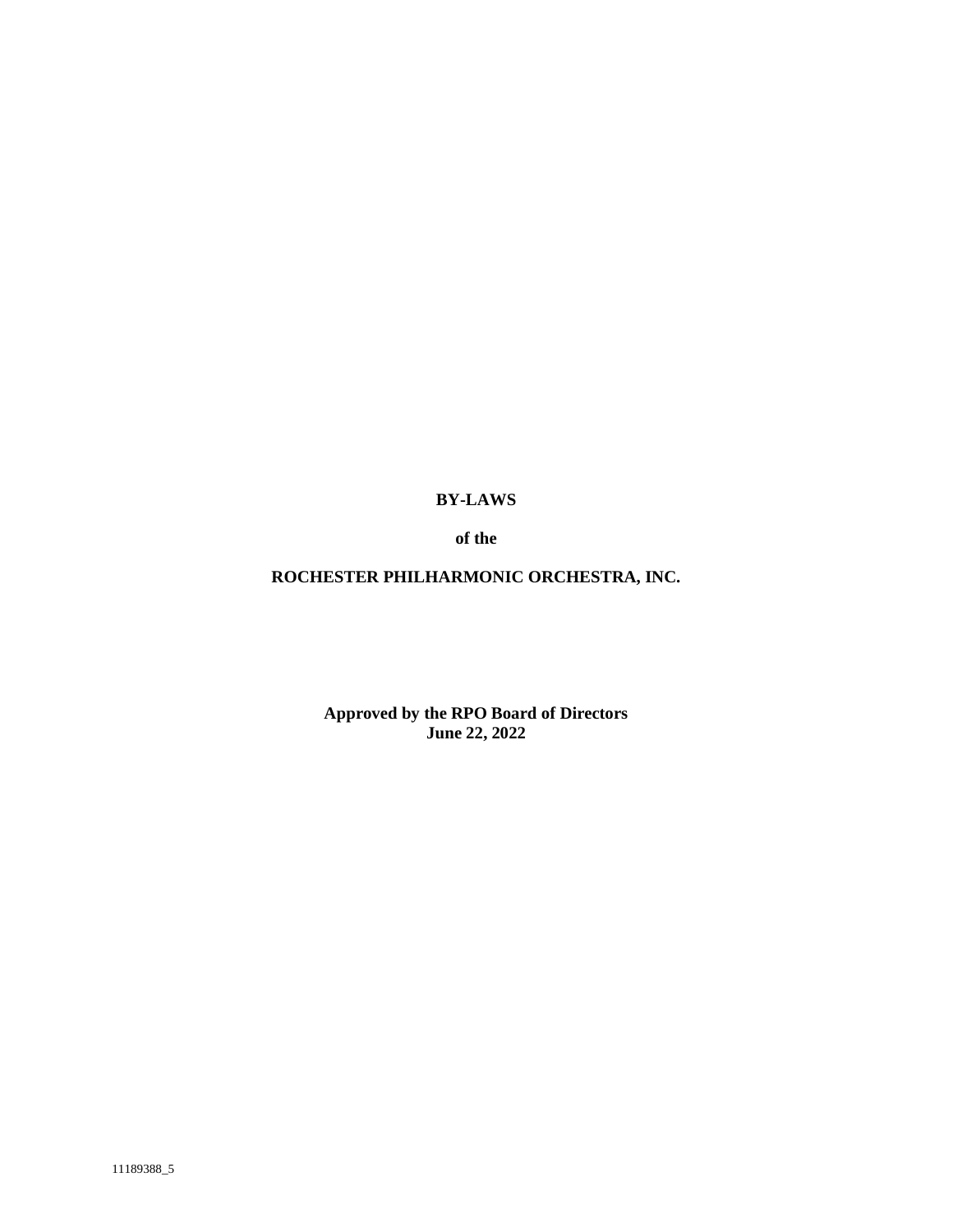**BY-LAWS**

**of the**

**ROCHESTER PHILHARMONIC ORCHESTRA, INC.**

**Approved by the RPO Board of Directors June 22, 2022**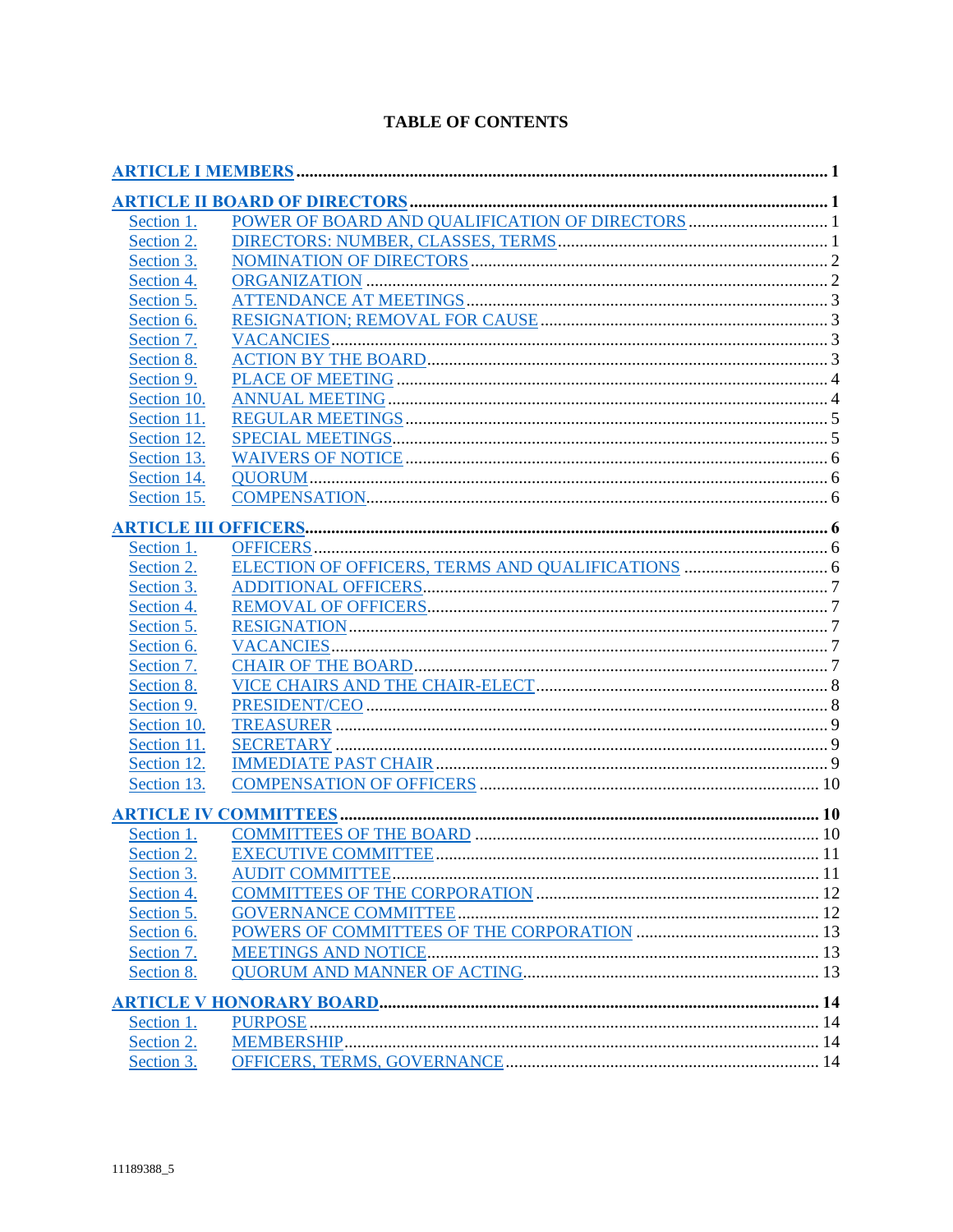| <b>TABLE OF CONTENTS</b> |  |
|--------------------------|--|
|--------------------------|--|

| Section 1.  |                             |  |
|-------------|-----------------------------|--|
| Section 2.  |                             |  |
| Section 3.  |                             |  |
| Section 4.  |                             |  |
| Section 5.  |                             |  |
| Section 6.  |                             |  |
| Section 7.  |                             |  |
| Section 8.  |                             |  |
| Section 9.  |                             |  |
| Section 10. |                             |  |
| Section 11. |                             |  |
| Section 12. |                             |  |
| Section 13. |                             |  |
| Section 14. |                             |  |
| Section 15. |                             |  |
|             |                             |  |
| Section 1.  |                             |  |
| Section 2.  |                             |  |
| Section 3.  |                             |  |
| Section 4.  |                             |  |
| Section 5.  |                             |  |
| Section 6.  |                             |  |
| Section 7.  |                             |  |
| Section 8.  |                             |  |
| Section 9.  |                             |  |
| Section 10. |                             |  |
| Section 11. |                             |  |
| Section 12. |                             |  |
| Section 13. |                             |  |
|             |                             |  |
| Section 1.  |                             |  |
| Section 2.  | <b>EXECUTIVE COMMITTEE.</b> |  |
| Section 3.  |                             |  |
| Section 4.  |                             |  |
| Section 5.  |                             |  |
| Section 6.  |                             |  |
| Section 7.  |                             |  |
| Section 8.  |                             |  |
|             |                             |  |
| Section 1.  |                             |  |
| Section 2.  |                             |  |
| Section 3.  |                             |  |
|             |                             |  |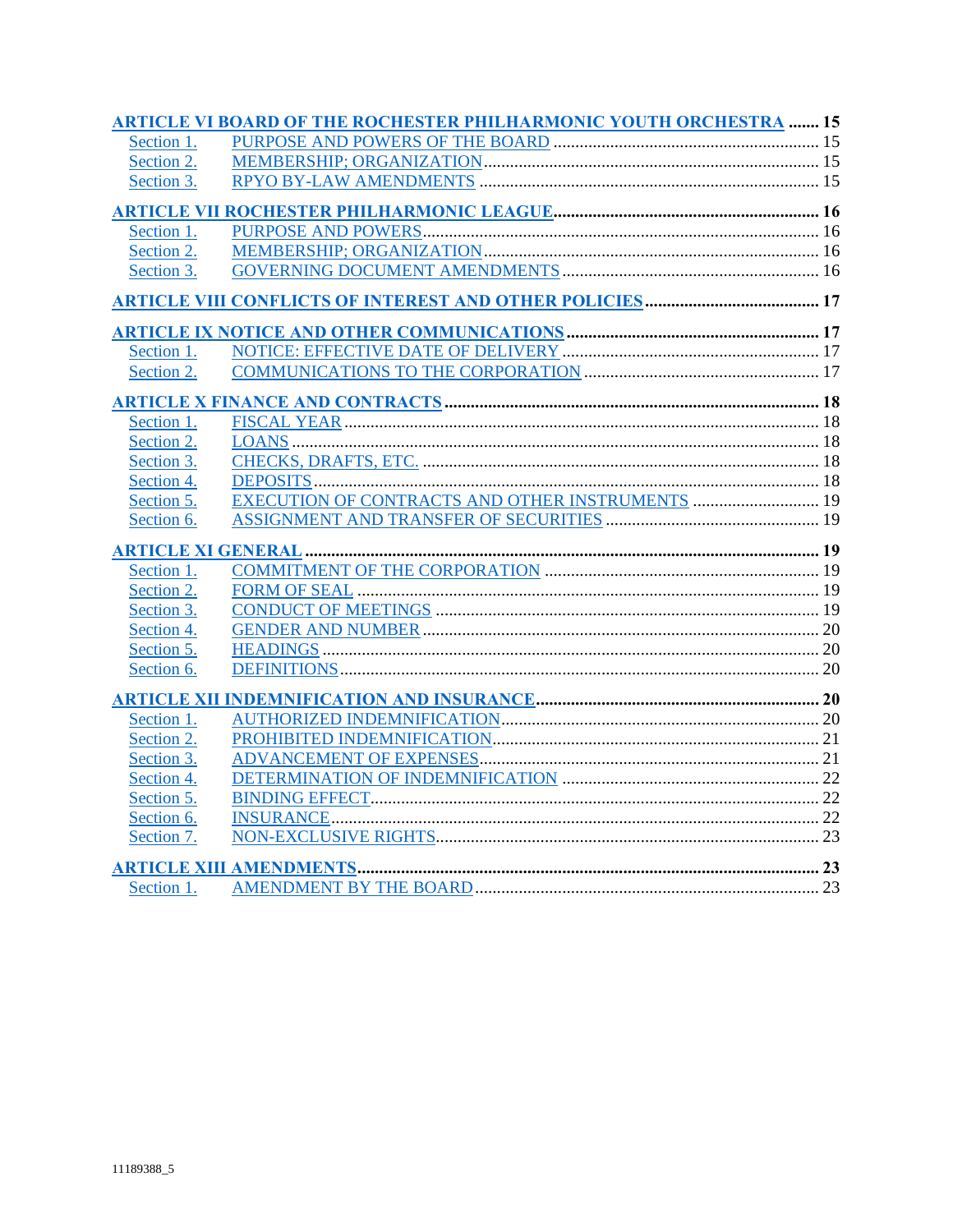|            | <b>ARTICLE VI BOARD OF THE ROCHESTER PHILHARMONIC YOUTH ORCHESTRA  15</b> |  |
|------------|---------------------------------------------------------------------------|--|
| Section 1. |                                                                           |  |
| Section 2. |                                                                           |  |
| Section 3. |                                                                           |  |
|            |                                                                           |  |
| Section 1. |                                                                           |  |
| Section 2. |                                                                           |  |
| Section 3. |                                                                           |  |
|            |                                                                           |  |
|            |                                                                           |  |
| Section 1. |                                                                           |  |
| Section 2. |                                                                           |  |
|            |                                                                           |  |
| Section 1. |                                                                           |  |
| Section 2. |                                                                           |  |
| Section 3. |                                                                           |  |
| Section 4. |                                                                           |  |
| Section 5. | EXECUTION OF CONTRACTS AND OTHER INSTRUMENTS  19                          |  |
| Section 6. |                                                                           |  |
|            |                                                                           |  |
| Section 1. |                                                                           |  |
| Section 2. |                                                                           |  |
| Section 3. |                                                                           |  |
| Section 4. |                                                                           |  |
| Section 5. |                                                                           |  |
| Section 6. |                                                                           |  |
|            |                                                                           |  |
| Section 1. |                                                                           |  |
| Section 2. |                                                                           |  |
| Section 3. |                                                                           |  |
| Section 4. |                                                                           |  |
| Section 5. |                                                                           |  |
| Section 6. |                                                                           |  |
| Section 7. |                                                                           |  |
|            |                                                                           |  |
| Section 1. |                                                                           |  |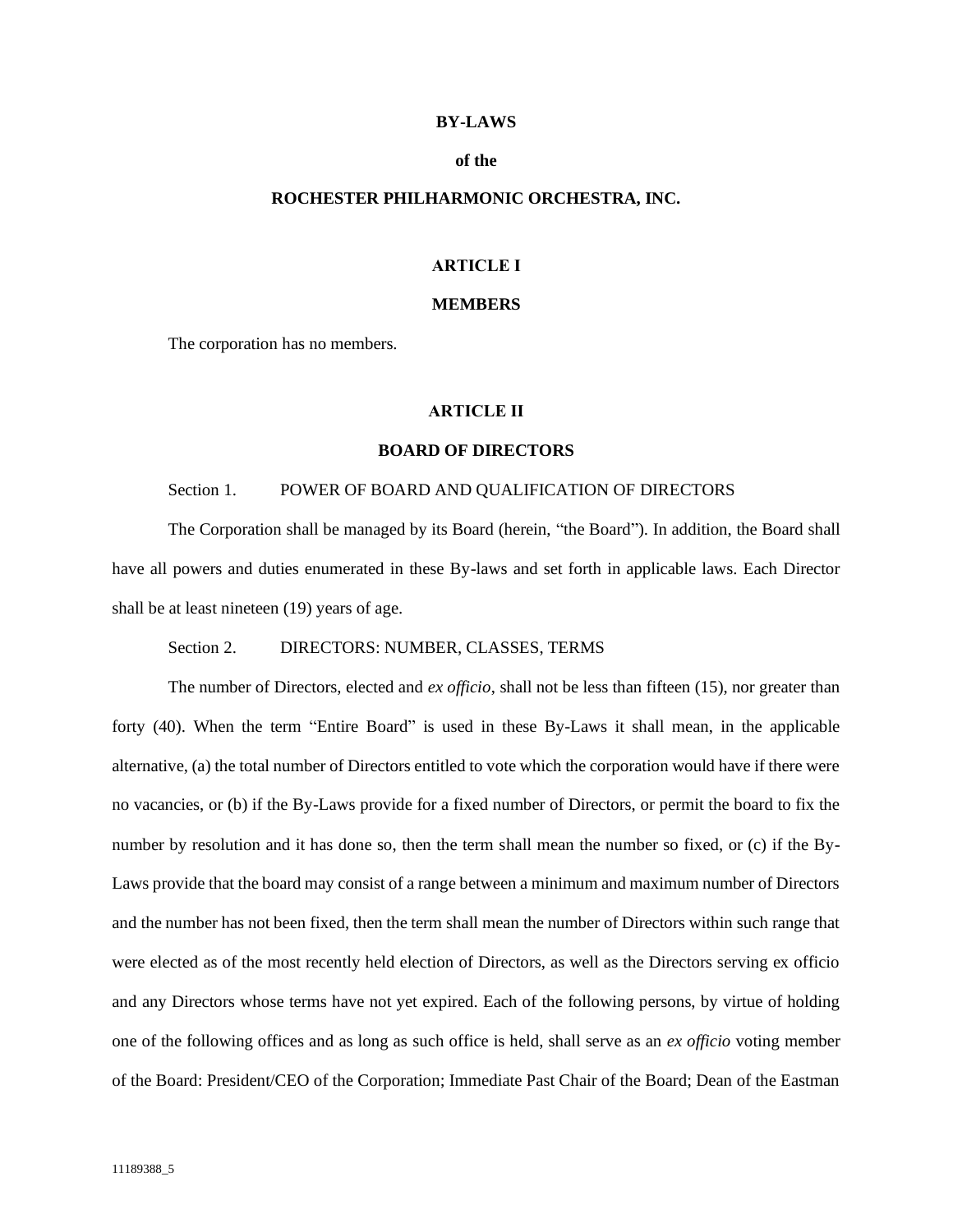# **BY-LAWS**

## **of the**

# **ROCHESTER PHILHARMONIC ORCHESTRA, INC.**

# **ARTICLE I**

### **MEMBERS**

<span id="page-3-0"></span>The corporation has no members.

## **ARTICLE II**

## **BOARD OF DIRECTORS**

# <span id="page-3-1"></span>Section 1. POWER OF BOARD AND QUALIFICATION OF DIRECTORS

<span id="page-3-2"></span>The Corporation shall be managed by its Board (herein, "the Board"). In addition, the Board shall have all powers and duties enumerated in these By-laws and set forth in applicable laws. Each Director shall be at least nineteen (19) years of age.

### Section 2. DIRECTORS: NUMBER, CLASSES, TERMS

<span id="page-3-3"></span>The number of Directors, elected and *ex officio*, shall not be less than fifteen (15), nor greater than forty (40). When the term "Entire Board" is used in these By-Laws it shall mean, in the applicable alternative, (a) the total number of Directors entitled to vote which the corporation would have if there were no vacancies, or (b) if the By-Laws provide for a fixed number of Directors, or permit the board to fix the number by resolution and it has done so, then the term shall mean the number so fixed, or (c) if the By-Laws provide that the board may consist of a range between a minimum and maximum number of Directors and the number has not been fixed, then the term shall mean the number of Directors within such range that were elected as of the most recently held election of Directors, as well as the Directors serving ex officio and any Directors whose terms have not yet expired. Each of the following persons, by virtue of holding one of the following offices and as long as such office is held, shall serve as an *ex officio* voting member of the Board: President/CEO of the Corporation; Immediate Past Chair of the Board; Dean of the Eastman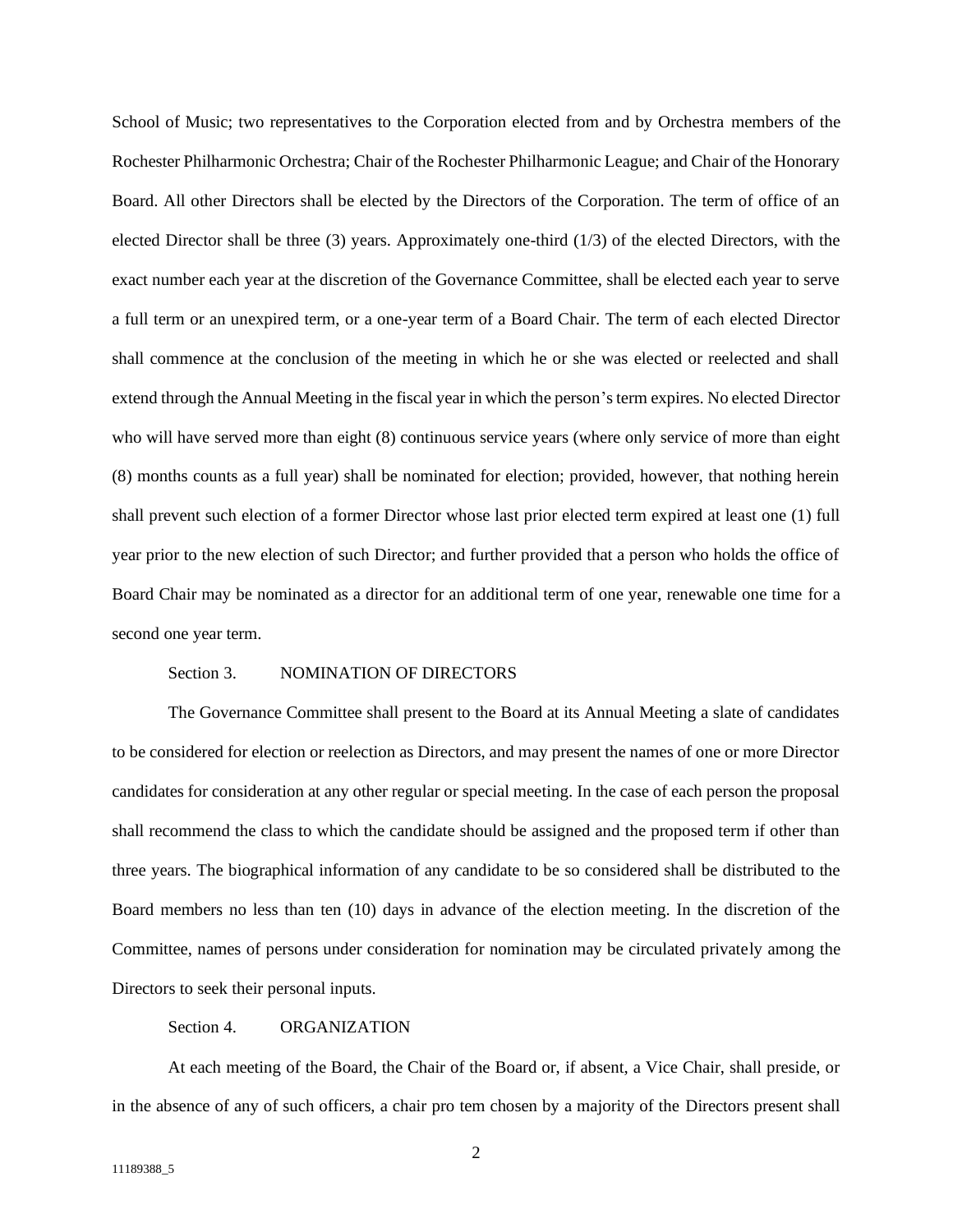School of Music; two representatives to the Corporation elected from and by Orchestra members of the Rochester Philharmonic Orchestra; Chair of the Rochester Philharmonic League; and Chair of the Honorary Board. All other Directors shall be elected by the Directors of the Corporation. The term of office of an elected Director shall be three (3) years. Approximately one-third (1/3) of the elected Directors, with the exact number each year at the discretion of the Governance Committee, shall be elected each year to serve a full term or an unexpired term, or a one-year term of a Board Chair. The term of each elected Director shall commence at the conclusion of the meeting in which he or she was elected or reelected and shall extend through the Annual Meeting in the fiscal year in which the person's term expires. No elected Director who will have served more than eight (8) continuous service years (where only service of more than eight (8) months counts as a full year) shall be nominated for election; provided, however, that nothing herein shall prevent such election of a former Director whose last prior elected term expired at least one (1) full year prior to the new election of such Director; and further provided that a person who holds the office of Board Chair may be nominated as a director for an additional term of one year, renewable one time for a second one year term.

#### Section 3. NOMINATION OF DIRECTORS

<span id="page-4-0"></span>The Governance Committee shall present to the Board at its Annual Meeting a slate of candidates to be considered for election or reelection as Directors, and may present the names of one or more Director candidates for consideration at any other regular or special meeting. In the case of each person the proposal shall recommend the class to which the candidate should be assigned and the proposed term if other than three years. The biographical information of any candidate to be so considered shall be distributed to the Board members no less than ten (10) days in advance of the election meeting. In the discretion of the Committee, names of persons under consideration for nomination may be circulated privately among the Directors to seek their personal inputs.

# Section 4. ORGANIZATION

<span id="page-4-1"></span>At each meeting of the Board, the Chair of the Board or, if absent, a Vice Chair, shall preside, or in the absence of any of such officers, a chair pro tem chosen by a majority of the Directors present shall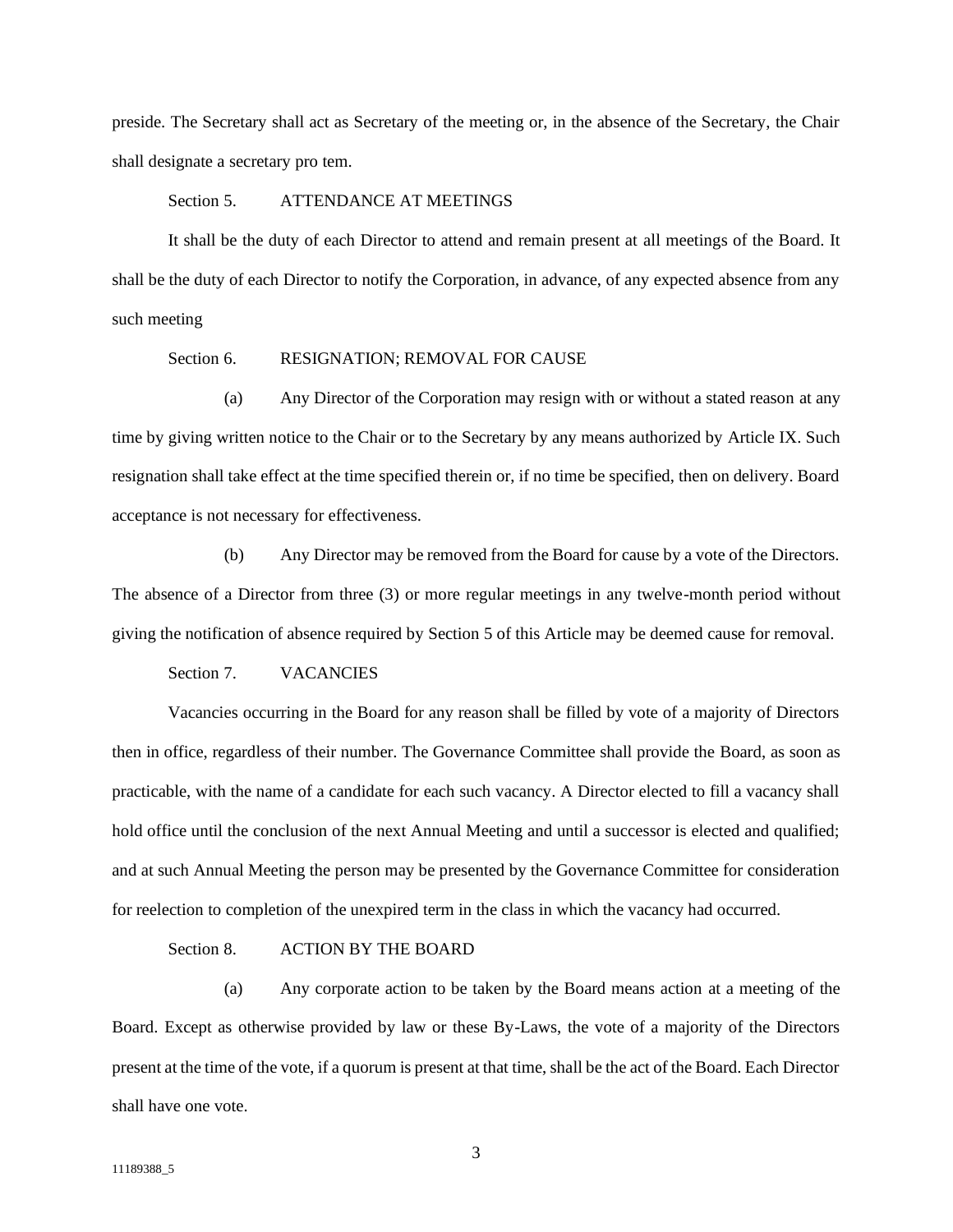preside. The Secretary shall act as Secretary of the meeting or, in the absence of the Secretary, the Chair shall designate a secretary pro tem.

# Section 5. ATTENDANCE AT MEETINGS

<span id="page-5-0"></span>It shall be the duty of each Director to attend and remain present at all meetings of the Board. It shall be the duty of each Director to notify the Corporation, in advance, of any expected absence from any such meeting

# Section 6. RESIGNATION; REMOVAL FOR CAUSE

<span id="page-5-1"></span>(a) Any Director of the Corporation may resign with or without a stated reason at any time by giving written notice to the Chair or to the Secretary by any means authorized by Article IX. Such resignation shall take effect at the time specified therein or, if no time be specified, then on delivery. Board acceptance is not necessary for effectiveness.

(b) Any Director may be removed from the Board for cause by a vote of the Directors. The absence of a Director from three (3) or more regular meetings in any twelve-month period without giving the notification of absence required by Section 5 of this Article may be deemed cause for removal.

## Section 7. VACANCIES

<span id="page-5-2"></span>Vacancies occurring in the Board for any reason shall be filled by vote of a majority of Directors then in office, regardless of their number. The Governance Committee shall provide the Board, as soon as practicable, with the name of a candidate for each such vacancy. A Director elected to fill a vacancy shall hold office until the conclusion of the next Annual Meeting and until a successor is elected and qualified; and at such Annual Meeting the person may be presented by the Governance Committee for consideration for reelection to completion of the unexpired term in the class in which the vacancy had occurred.

# Section 8. ACTION BY THE BOARD

<span id="page-5-3"></span>(a) Any corporate action to be taken by the Board means action at a meeting of the Board. Except as otherwise provided by law or these By-Laws, the vote of a majority of the Directors present at the time of the vote, if a quorum is present at that time, shall be the act of the Board. Each Director shall have one vote.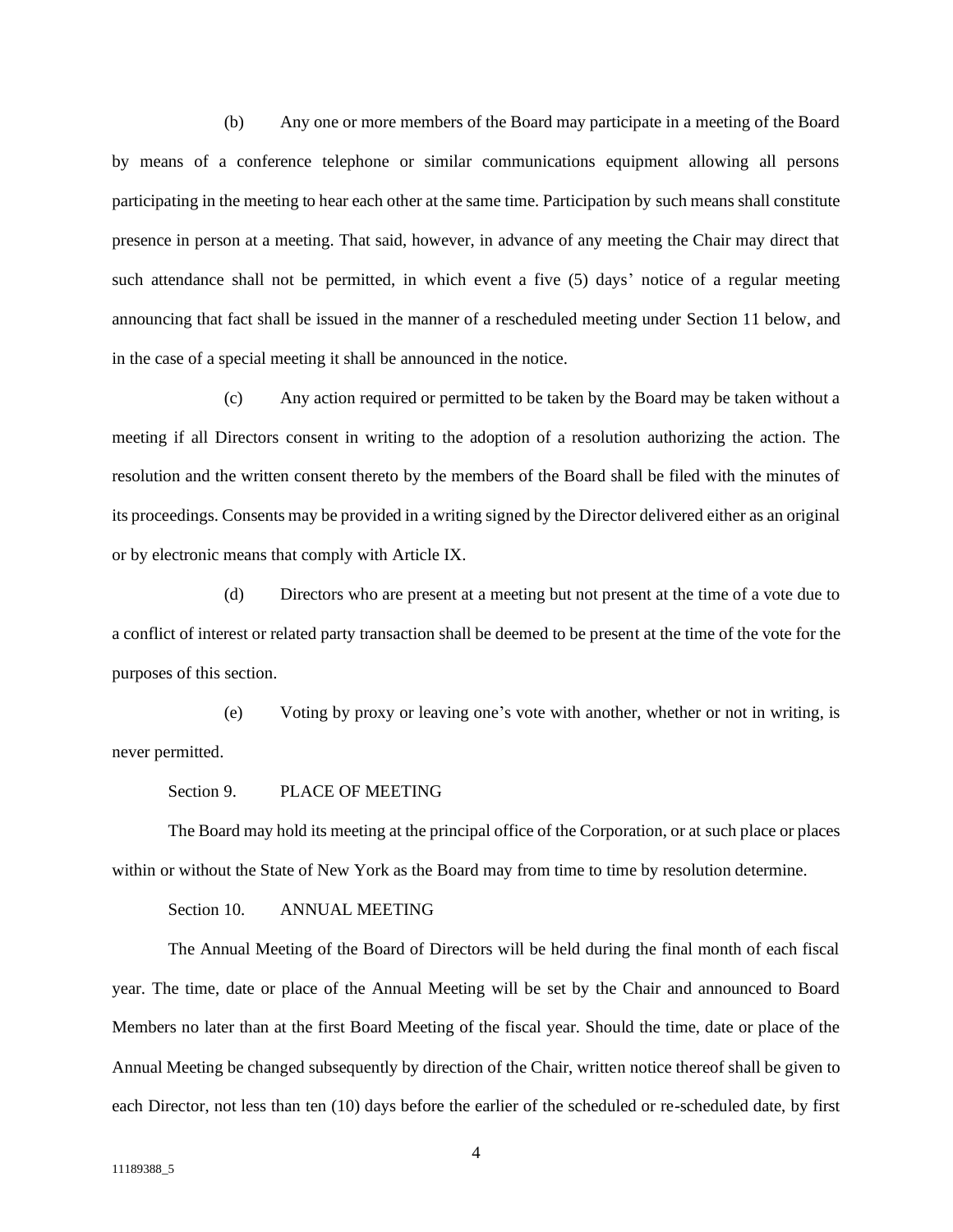(b) Any one or more members of the Board may participate in a meeting of the Board by means of a conference telephone or similar communications equipment allowing all persons participating in the meeting to hear each other at the same time. Participation by such means shall constitute presence in person at a meeting. That said, however, in advance of any meeting the Chair may direct that such attendance shall not be permitted, in which event a five (5) days' notice of a regular meeting announcing that fact shall be issued in the manner of a rescheduled meeting under Section 11 below, and in the case of a special meeting it shall be announced in the notice.

(c) Any action required or permitted to be taken by the Board may be taken without a meeting if all Directors consent in writing to the adoption of a resolution authorizing the action. The resolution and the written consent thereto by the members of the Board shall be filed with the minutes of its proceedings. Consents may be provided in a writing signed by the Director delivered either as an original or by electronic means that comply with Article IX.

(d) Directors who are present at a meeting but not present at the time of a vote due to a conflict of interest or related party transaction shall be deemed to be present at the time of the vote for the purposes of this section.

(e) Voting by proxy or leaving one's vote with another, whether or not in writing, is never permitted.

## Section 9. PLACE OF MEETING

<span id="page-6-0"></span>The Board may hold its meeting at the principal office of the Corporation, or at such place or places within or without the State of New York as the Board may from time to time by resolution determine.

Section 10. ANNUAL MEETING

<span id="page-6-1"></span>The Annual Meeting of the Board of Directors will be held during the final month of each fiscal year. The time, date or place of the Annual Meeting will be set by the Chair and announced to Board Members no later than at the first Board Meeting of the fiscal year. Should the time, date or place of the Annual Meeting be changed subsequently by direction of the Chair, written notice thereof shall be given to each Director, not less than ten (10) days before the earlier of the scheduled or re-scheduled date, by first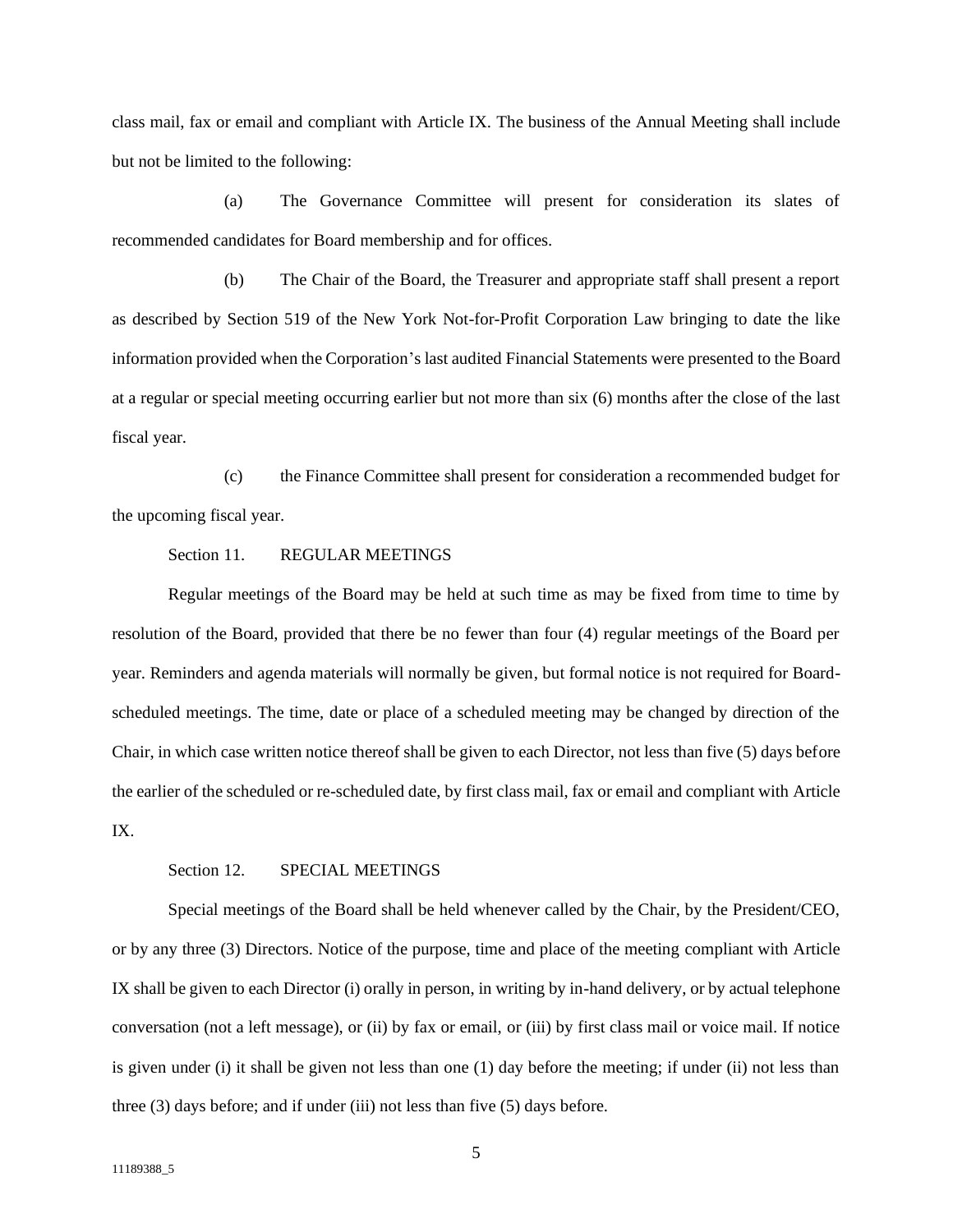class mail, fax or email and compliant with Article IX. The business of the Annual Meeting shall include but not be limited to the following:

(a) The Governance Committee will present for consideration its slates of recommended candidates for Board membership and for offices.

(b) The Chair of the Board, the Treasurer and appropriate staff shall present a report as described by Section 519 of the New York Not-for-Profit Corporation Law bringing to date the like information provided when the Corporation's last audited Financial Statements were presented to the Board at a regular or special meeting occurring earlier but not more than six (6) months after the close of the last fiscal year.

(c) the Finance Committee shall present for consideration a recommended budget for the upcoming fiscal year.

# Section 11. REGULAR MEETINGS

<span id="page-7-0"></span>Regular meetings of the Board may be held at such time as may be fixed from time to time by resolution of the Board, provided that there be no fewer than four (4) regular meetings of the Board per year. Reminders and agenda materials will normally be given, but formal notice is not required for Boardscheduled meetings. The time, date or place of a scheduled meeting may be changed by direction of the Chair, in which case written notice thereof shall be given to each Director, not less than five (5) days before the earlier of the scheduled or re-scheduled date, by first class mail, fax or email and compliant with Article IX.

#### Section 12. SPECIAL MEETINGS

<span id="page-7-1"></span>Special meetings of the Board shall be held whenever called by the Chair, by the President/CEO, or by any three (3) Directors. Notice of the purpose, time and place of the meeting compliant with Article IX shall be given to each Director (i) orally in person, in writing by in-hand delivery, or by actual telephone conversation (not a left message), or (ii) by fax or email, or (iii) by first class mail or voice mail. If notice is given under (i) it shall be given not less than one (1) day before the meeting; if under (ii) not less than three (3) days before; and if under (iii) not less than five (5) days before.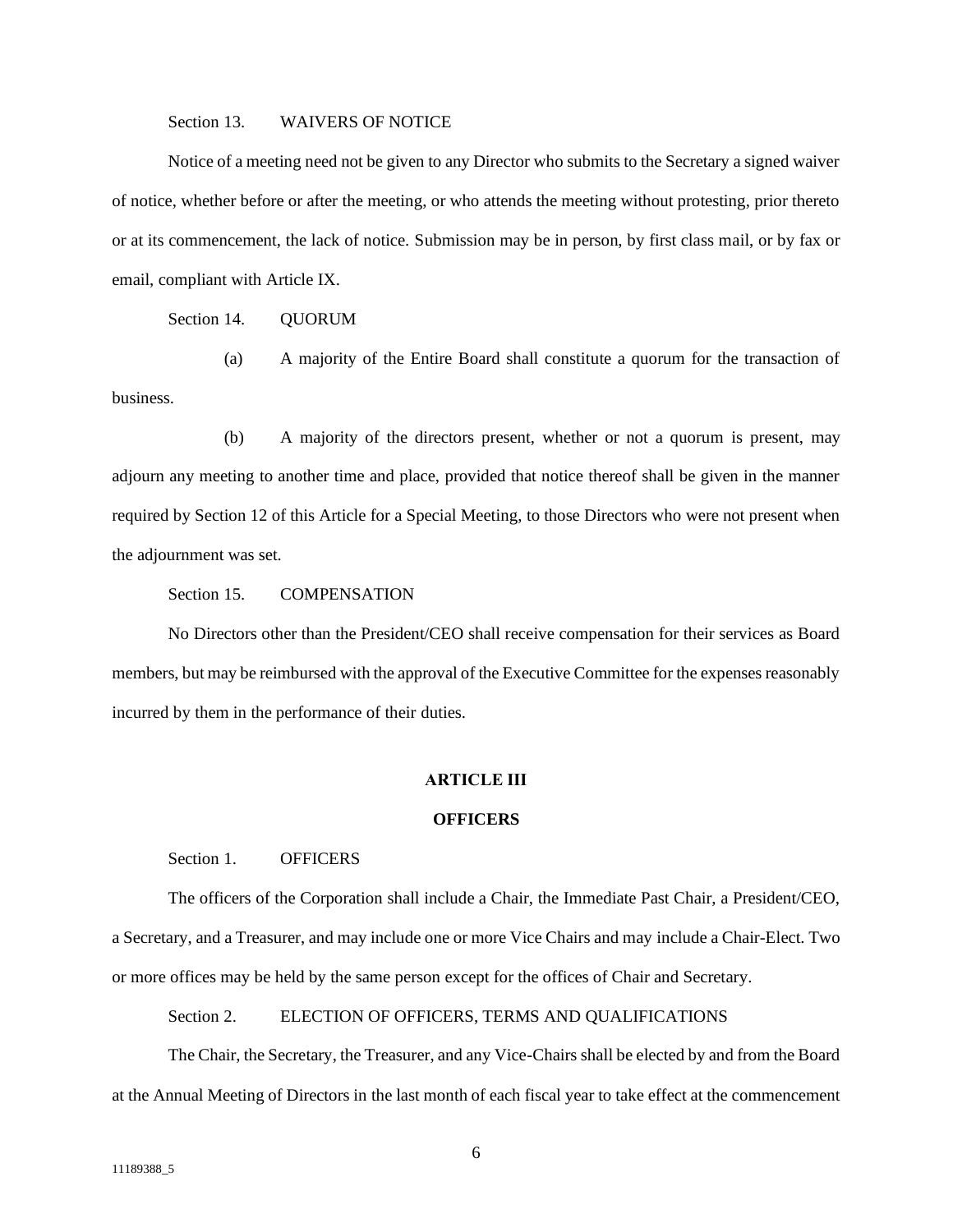### Section 13. WAIVERS OF NOTICE

<span id="page-8-0"></span>Notice of a meeting need not be given to any Director who submits to the Secretary a signed waiver of notice, whether before or after the meeting, or who attends the meeting without protesting, prior thereto or at its commencement, the lack of notice. Submission may be in person, by first class mail, or by fax or email, compliant with Article IX.

Section 14. QUORUM

<span id="page-8-1"></span>(a) A majority of the Entire Board shall constitute a quorum for the transaction of business.

(b) A majority of the directors present, whether or not a quorum is present, may adjourn any meeting to another time and place, provided that notice thereof shall be given in the manner required by Section 12 of this Article for a Special Meeting, to those Directors who were not present when the adjournment was set.

Section 15. COMPENSATION

<span id="page-8-2"></span>No Directors other than the President/CEO shall receive compensation for their services as Board members, but may be reimbursed with the approval of the Executive Committee for the expenses reasonably incurred by them in the performance of their duties.

# **ARTICLE III**

### **OFFICERS**

### <span id="page-8-3"></span>Section 1. **OFFICERS**

<span id="page-8-4"></span>The officers of the Corporation shall include a Chair, the Immediate Past Chair, a President/CEO, a Secretary, and a Treasurer, and may include one or more Vice Chairs and may include a Chair-Elect. Two or more offices may be held by the same person except for the offices of Chair and Secretary.

Section 2. ELECTION OF OFFICERS, TERMS AND QUALIFICATIONS

<span id="page-8-5"></span>The Chair, the Secretary, the Treasurer, and any Vice-Chairs shall be elected by and from the Board at the Annual Meeting of Directors in the last month of each fiscal year to take effect at the commencement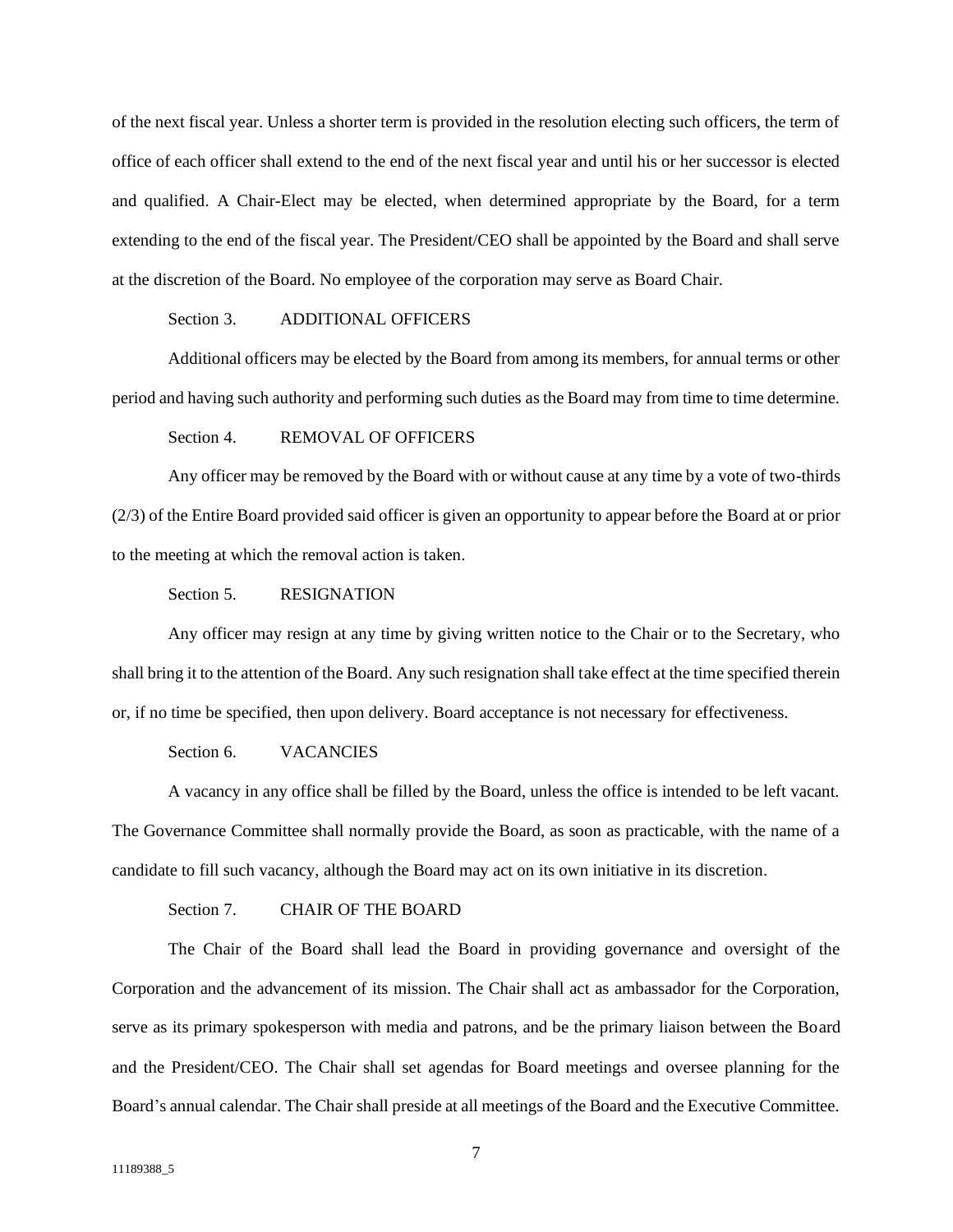of the next fiscal year. Unless a shorter term is provided in the resolution electing such officers, the term of office of each officer shall extend to the end of the next fiscal year and until his or her successor is elected and qualified. A Chair-Elect may be elected, when determined appropriate by the Board, for a term extending to the end of the fiscal year. The President/CEO shall be appointed by the Board and shall serve at the discretion of the Board. No employee of the corporation may serve as Board Chair.

# Section 3. ADDITIONAL OFFICERS

<span id="page-9-0"></span>Additional officers may be elected by the Board from among its members, for annual terms or other period and having such authority and performing such duties as the Board may from time to time determine.

# Section 4. REMOVAL OF OFFICERS

<span id="page-9-1"></span>Any officer may be removed by the Board with or without cause at any time by a vote of two-thirds (2/3) of the Entire Board provided said officer is given an opportunity to appear before the Board at or prior to the meeting at which the removal action is taken.

## Section 5. RESIGNATION

<span id="page-9-2"></span>Any officer may resign at any time by giving written notice to the Chair or to the Secretary, who shall bring it to the attention of the Board. Any such resignation shall take effect at the time specified therein or, if no time be specified, then upon delivery. Board acceptance is not necessary for effectiveness.

#### Section 6. VACANCIES

<span id="page-9-3"></span>A vacancy in any office shall be filled by the Board, unless the office is intended to be left vacant. The Governance Committee shall normally provide the Board, as soon as practicable, with the name of a candidate to fill such vacancy, although the Board may act on its own initiative in its discretion.

## Section 7. CHAIR OF THE BOARD

<span id="page-9-4"></span>The Chair of the Board shall lead the Board in providing governance and oversight of the Corporation and the advancement of its mission. The Chair shall act as ambassador for the Corporation, serve as its primary spokesperson with media and patrons, and be the primary liaison between the Board and the President/CEO. The Chair shall set agendas for Board meetings and oversee planning for the Board's annual calendar. The Chair shall preside at all meetings of the Board and the Executive Committee.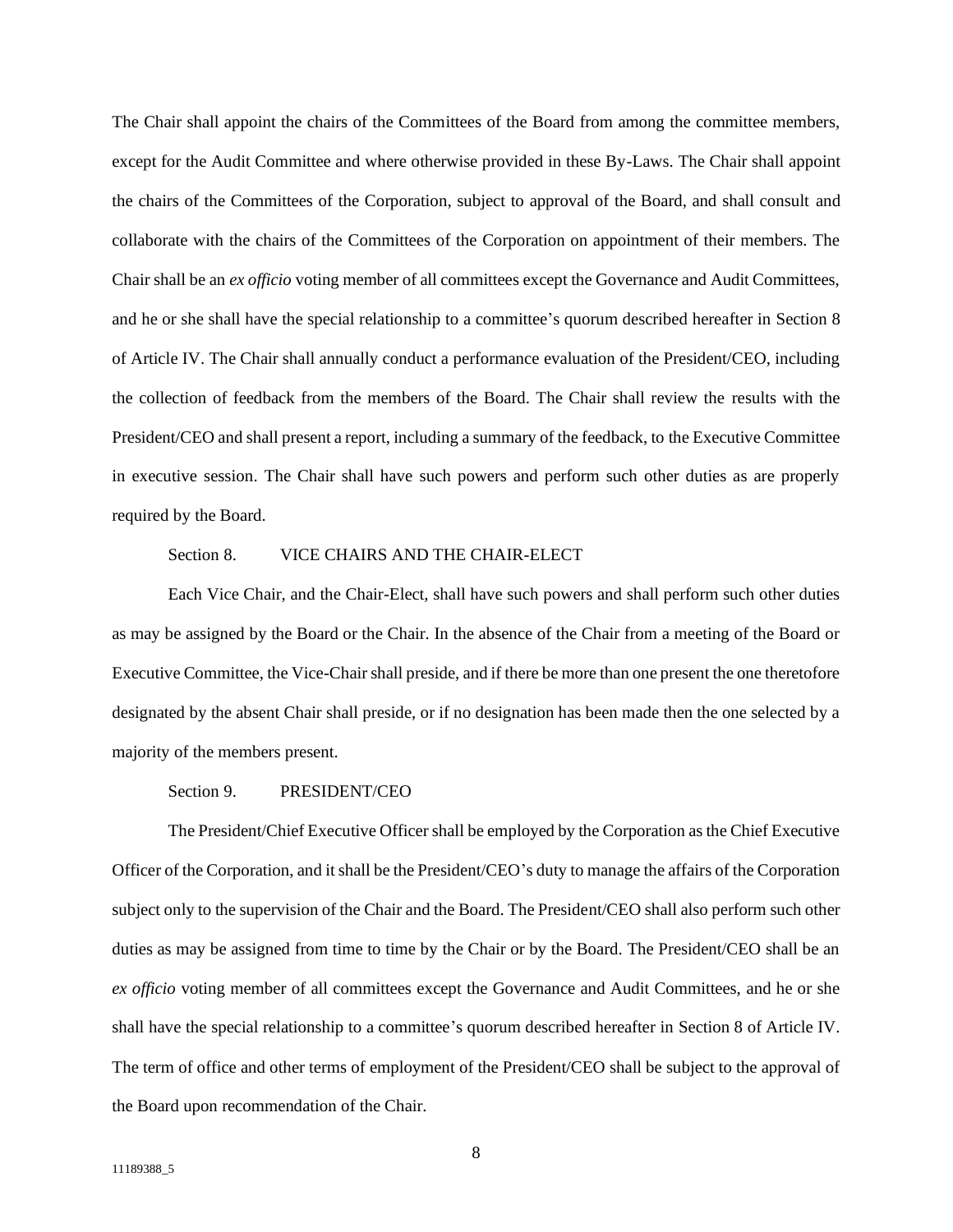The Chair shall appoint the chairs of the Committees of the Board from among the committee members, except for the Audit Committee and where otherwise provided in these By-Laws. The Chair shall appoint the chairs of the Committees of the Corporation, subject to approval of the Board, and shall consult and collaborate with the chairs of the Committees of the Corporation on appointment of their members. The Chair shall be an *ex officio* voting member of all committees except the Governance and Audit Committees, and he or she shall have the special relationship to a committee's quorum described hereafter in Section 8 of Article IV. The Chair shall annually conduct a performance evaluation of the President/CEO, including the collection of feedback from the members of the Board. The Chair shall review the results with the President/CEO and shall present a report, including a summary of the feedback, to the Executive Committee in executive session. The Chair shall have such powers and perform such other duties as are properly required by the Board.

# Section 8. VICE CHAIRS AND THE CHAIR-ELECT

<span id="page-10-0"></span>Each Vice Chair, and the Chair-Elect, shall have such powers and shall perform such other duties as may be assigned by the Board or the Chair. In the absence of the Chair from a meeting of the Board or Executive Committee, the Vice-Chair shall preside, and if there be more than one present the one theretofore designated by the absent Chair shall preside, or if no designation has been made then the one selected by a majority of the members present.

### Section 9. PRESIDENT/CEO

<span id="page-10-1"></span>The President/Chief Executive Officer shall be employed by the Corporation as the Chief Executive Officer of the Corporation, and it shall be the President/CEO's duty to manage the affairs of the Corporation subject only to the supervision of the Chair and the Board. The President/CEO shall also perform such other duties as may be assigned from time to time by the Chair or by the Board. The President/CEO shall be an *ex officio* voting member of all committees except the Governance and Audit Committees, and he or she shall have the special relationship to a committee's quorum described hereafter in Section 8 of Article IV. The term of office and other terms of employment of the President/CEO shall be subject to the approval of the Board upon recommendation of the Chair.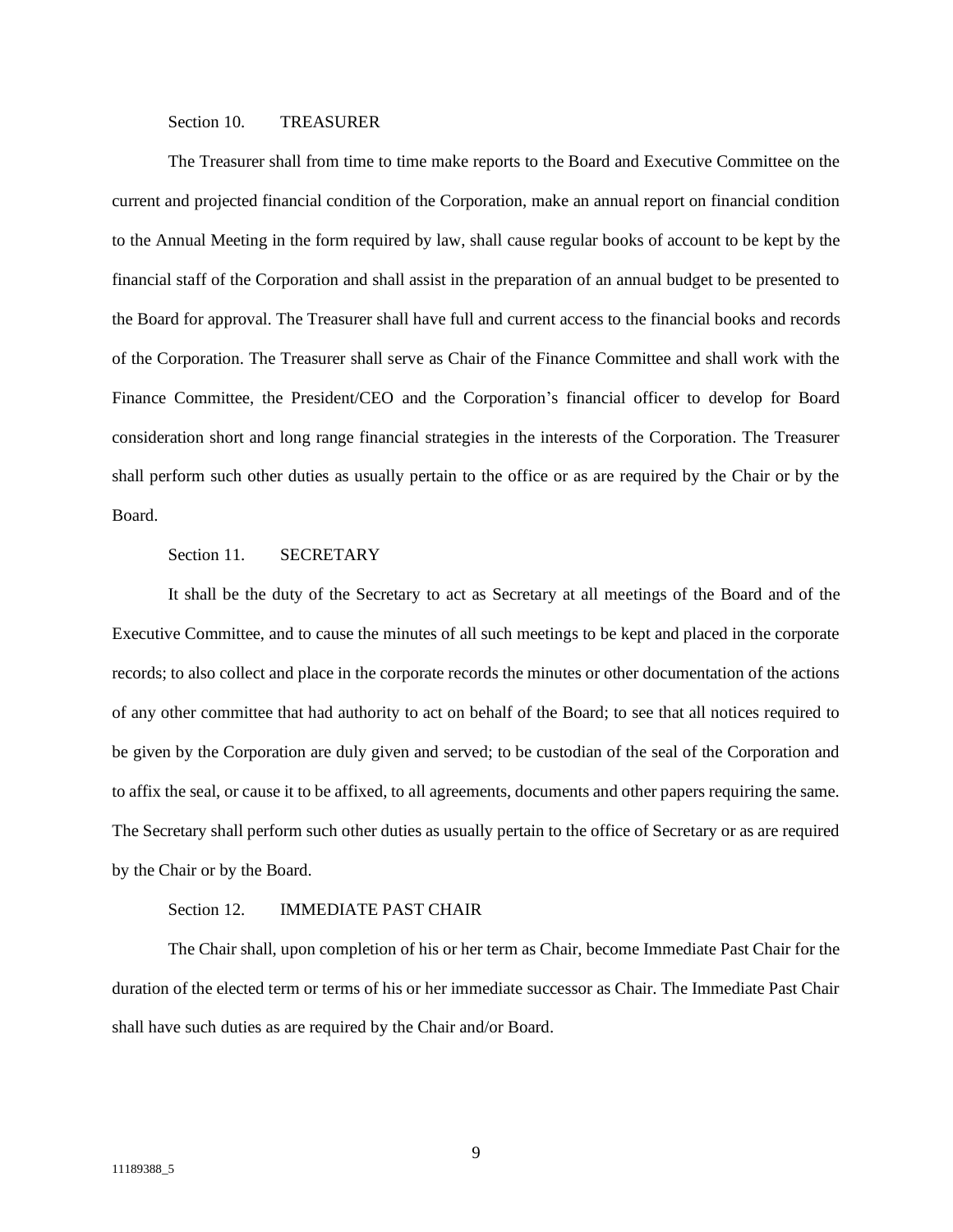### Section 10. TREASURER

<span id="page-11-0"></span>The Treasurer shall from time to time make reports to the Board and Executive Committee on the current and projected financial condition of the Corporation, make an annual report on financial condition to the Annual Meeting in the form required by law, shall cause regular books of account to be kept by the financial staff of the Corporation and shall assist in the preparation of an annual budget to be presented to the Board for approval. The Treasurer shall have full and current access to the financial books and records of the Corporation. The Treasurer shall serve as Chair of the Finance Committee and shall work with the Finance Committee, the President/CEO and the Corporation's financial officer to develop for Board consideration short and long range financial strategies in the interests of the Corporation. The Treasurer shall perform such other duties as usually pertain to the office or as are required by the Chair or by the Board.

# Section 11. SECRETARY

<span id="page-11-1"></span>It shall be the duty of the Secretary to act as Secretary at all meetings of the Board and of the Executive Committee, and to cause the minutes of all such meetings to be kept and placed in the corporate records; to also collect and place in the corporate records the minutes or other documentation of the actions of any other committee that had authority to act on behalf of the Board; to see that all notices required to be given by the Corporation are duly given and served; to be custodian of the seal of the Corporation and to affix the seal, or cause it to be affixed, to all agreements, documents and other papers requiring the same. The Secretary shall perform such other duties as usually pertain to the office of Secretary or as are required by the Chair or by the Board.

# Section 12. **IMMEDIATE PAST CHAIR**

<span id="page-11-2"></span>The Chair shall, upon completion of his or her term as Chair, become Immediate Past Chair for the duration of the elected term or terms of his or her immediate successor as Chair. The Immediate Past Chair shall have such duties as are required by the Chair and/or Board.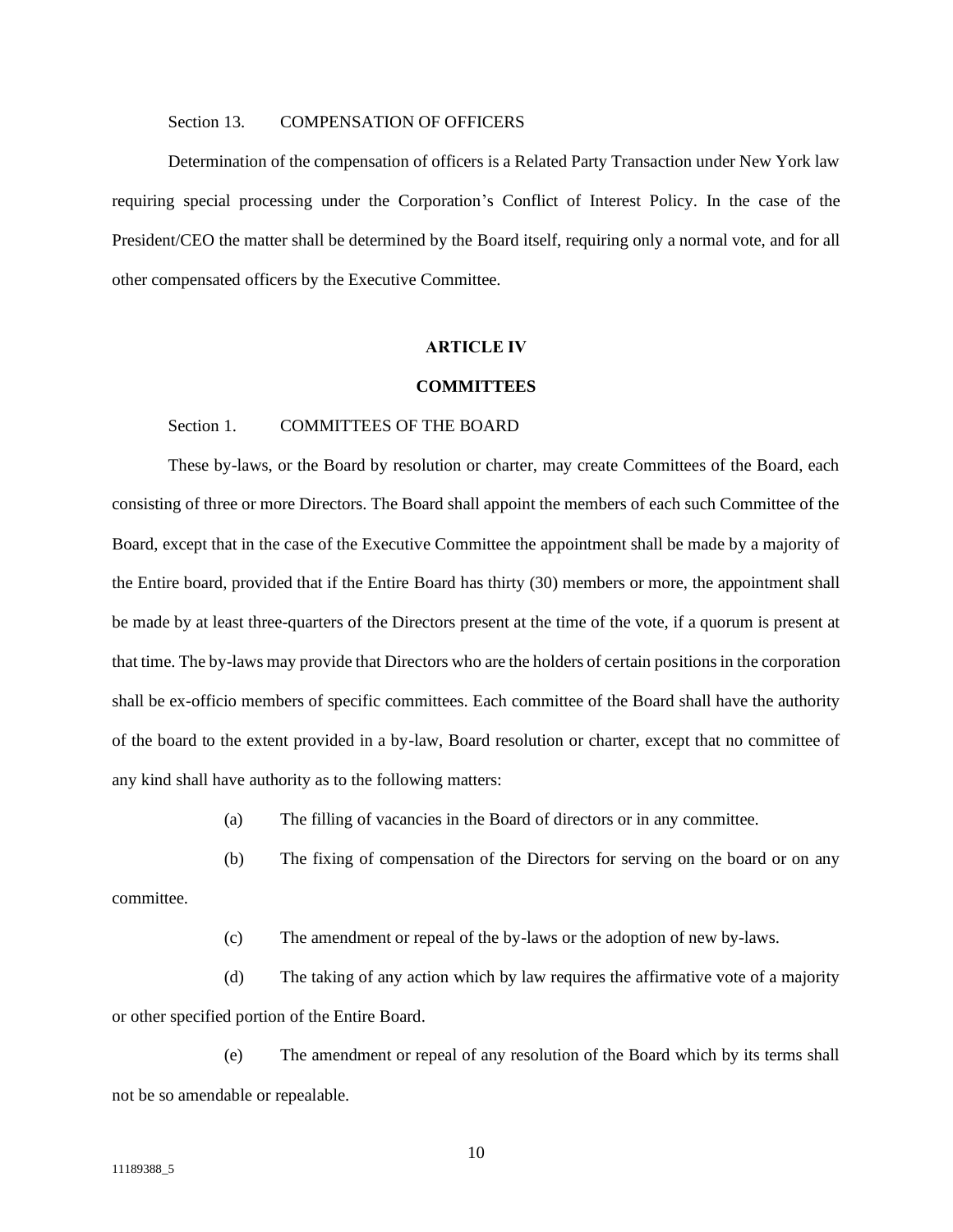## Section 13. COMPENSATION OF OFFICERS

<span id="page-12-0"></span>Determination of the compensation of officers is a Related Party Transaction under New York law requiring special processing under the Corporation's Conflict of Interest Policy. In the case of the President/CEO the matter shall be determined by the Board itself, requiring only a normal vote, and for all other compensated officers by the Executive Committee.

### **ARTICLE IV**

### **COMMITTEES**

### <span id="page-12-1"></span>Section 1. COMMITTEES OF THE BOARD

<span id="page-12-2"></span>These by-laws, or the Board by resolution or charter, may create Committees of the Board, each consisting of three or more Directors. The Board shall appoint the members of each such Committee of the Board, except that in the case of the Executive Committee the appointment shall be made by a majority of the Entire board, provided that if the Entire Board has thirty (30) members or more, the appointment shall be made by at least three-quarters of the Directors present at the time of the vote, if a quorum is present at that time. The by-laws may provide that Directors who are the holders of certain positions in the corporation shall be ex-officio members of specific committees. Each committee of the Board shall have the authority of the board to the extent provided in a by-law, Board resolution or charter, except that no committee of any kind shall have authority as to the following matters:

(a) The filling of vacancies in the Board of directors or in any committee.

(b) The fixing of compensation of the Directors for serving on the board or on any

committee.

(c) The amendment or repeal of the by-laws or the adoption of new by-laws.

(d) The taking of any action which by law requires the affirmative vote of a majority or other specified portion of the Entire Board.

(e) The amendment or repeal of any resolution of the Board which by its terms shall not be so amendable or repealable.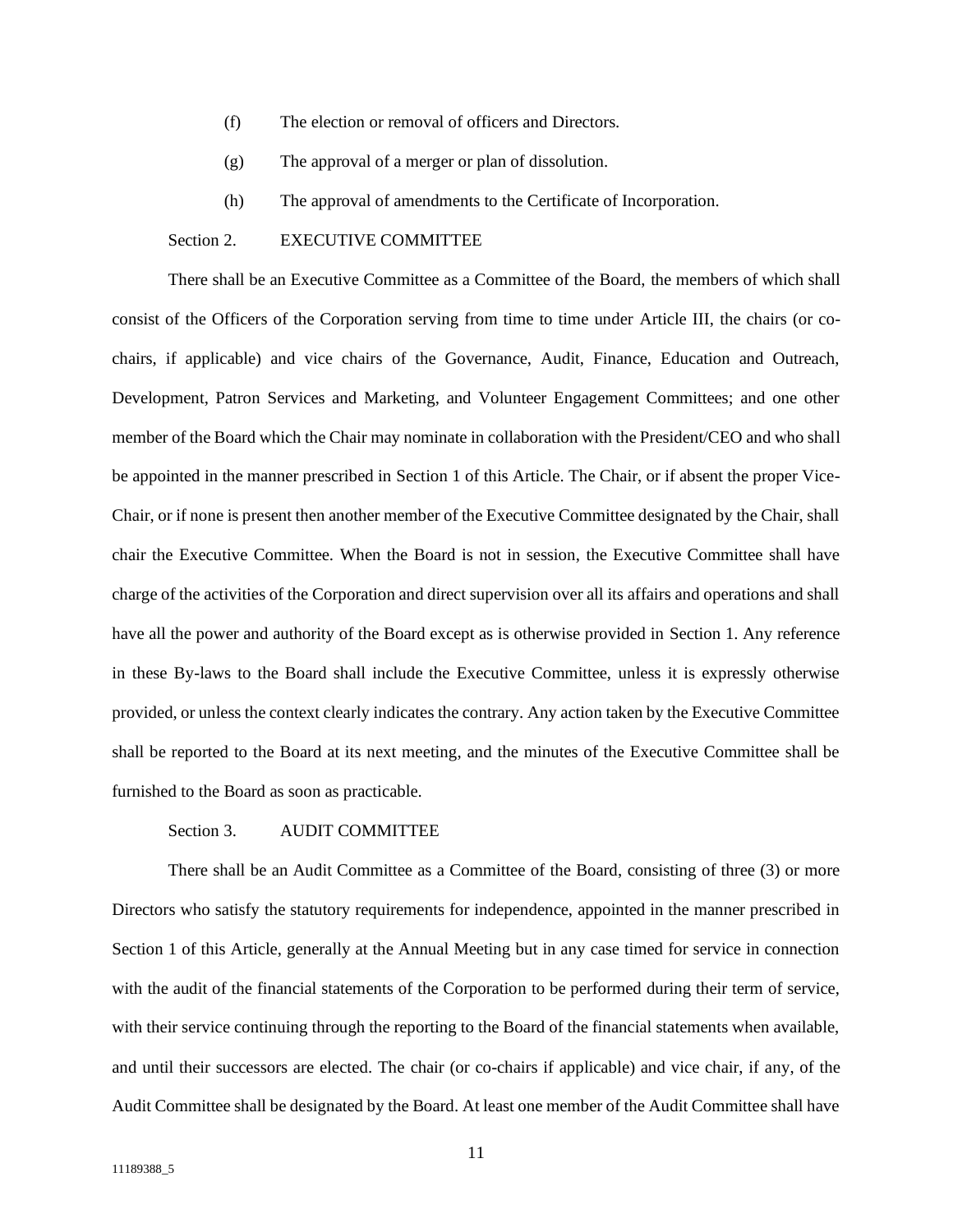- (f) The election or removal of officers and Directors.
- (g) The approval of a merger or plan of dissolution.
- (h) The approval of amendments to the Certificate of Incorporation.

# Section 2. EXECUTIVE COMMITTEE

<span id="page-13-0"></span>There shall be an Executive Committee as a Committee of the Board, the members of which shall consist of the Officers of the Corporation serving from time to time under Article III, the chairs (or cochairs, if applicable) and vice chairs of the Governance, Audit, Finance, Education and Outreach, Development, Patron Services and Marketing, and Volunteer Engagement Committees; and one other member of the Board which the Chair may nominate in collaboration with the President/CEO and who shall be appointed in the manner prescribed in Section 1 of this Article. The Chair, or if absent the proper Vice-Chair, or if none is present then another member of the Executive Committee designated by the Chair, shall chair the Executive Committee. When the Board is not in session, the Executive Committee shall have charge of the activities of the Corporation and direct supervision over all its affairs and operations and shall have all the power and authority of the Board except as is otherwise provided in Section 1. Any reference in these By-laws to the Board shall include the Executive Committee, unless it is expressly otherwise provided, or unless the context clearly indicates the contrary. Any action taken by the Executive Committee shall be reported to the Board at its next meeting, and the minutes of the Executive Committee shall be furnished to the Board as soon as practicable.

# Section 3. AUDIT COMMITTEE

<span id="page-13-1"></span>There shall be an Audit Committee as a Committee of the Board, consisting of three (3) or more Directors who satisfy the statutory requirements for independence, appointed in the manner prescribed in Section 1 of this Article, generally at the Annual Meeting but in any case timed for service in connection with the audit of the financial statements of the Corporation to be performed during their term of service, with their service continuing through the reporting to the Board of the financial statements when available, and until their successors are elected. The chair (or co-chairs if applicable) and vice chair, if any, of the Audit Committee shall be designated by the Board. At least one member of the Audit Committee shall have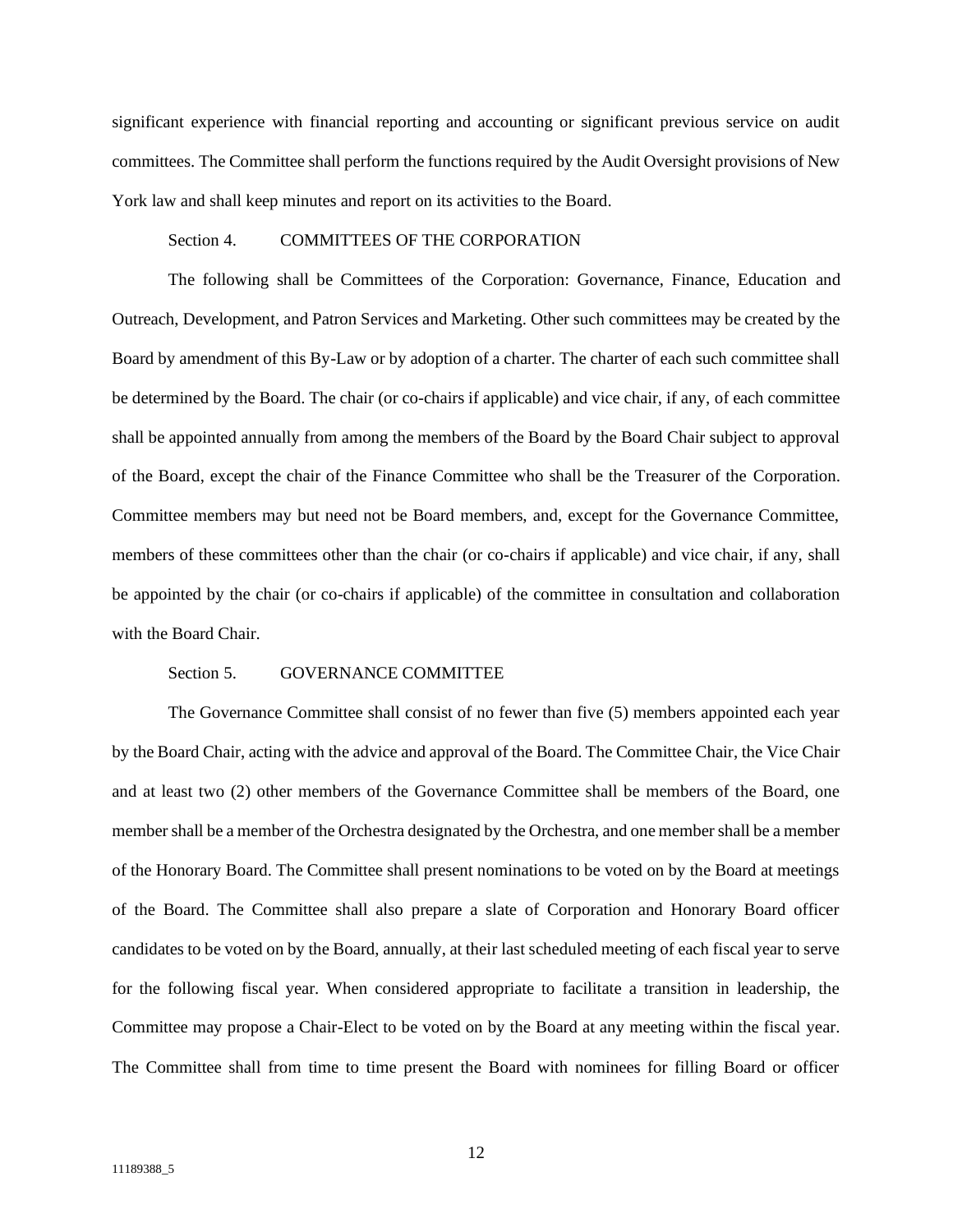significant experience with financial reporting and accounting or significant previous service on audit committees. The Committee shall perform the functions required by the Audit Oversight provisions of New York law and shall keep minutes and report on its activities to the Board.

# Section 4. COMMITTEES OF THE CORPORATION

<span id="page-14-0"></span>The following shall be Committees of the Corporation: Governance, Finance, Education and Outreach, Development, and Patron Services and Marketing. Other such committees may be created by the Board by amendment of this By-Law or by adoption of a charter. The charter of each such committee shall be determined by the Board. The chair (or co-chairs if applicable) and vice chair, if any, of each committee shall be appointed annually from among the members of the Board by the Board Chair subject to approval of the Board, except the chair of the Finance Committee who shall be the Treasurer of the Corporation. Committee members may but need not be Board members, and, except for the Governance Committee, members of these committees other than the chair (or co-chairs if applicable) and vice chair, if any, shall be appointed by the chair (or co-chairs if applicable) of the committee in consultation and collaboration with the Board Chair.

#### Section 5. GOVERNANCE COMMITTEE

<span id="page-14-1"></span>The Governance Committee shall consist of no fewer than five (5) members appointed each year by the Board Chair, acting with the advice and approval of the Board. The Committee Chair, the Vice Chair and at least two (2) other members of the Governance Committee shall be members of the Board, one member shall be a member of the Orchestra designated by the Orchestra, and one member shall be a member of the Honorary Board. The Committee shall present nominations to be voted on by the Board at meetings of the Board. The Committee shall also prepare a slate of Corporation and Honorary Board officer candidates to be voted on by the Board, annually, at their last scheduled meeting of each fiscal year to serve for the following fiscal year. When considered appropriate to facilitate a transition in leadership, the Committee may propose a Chair-Elect to be voted on by the Board at any meeting within the fiscal year. The Committee shall from time to time present the Board with nominees for filling Board or officer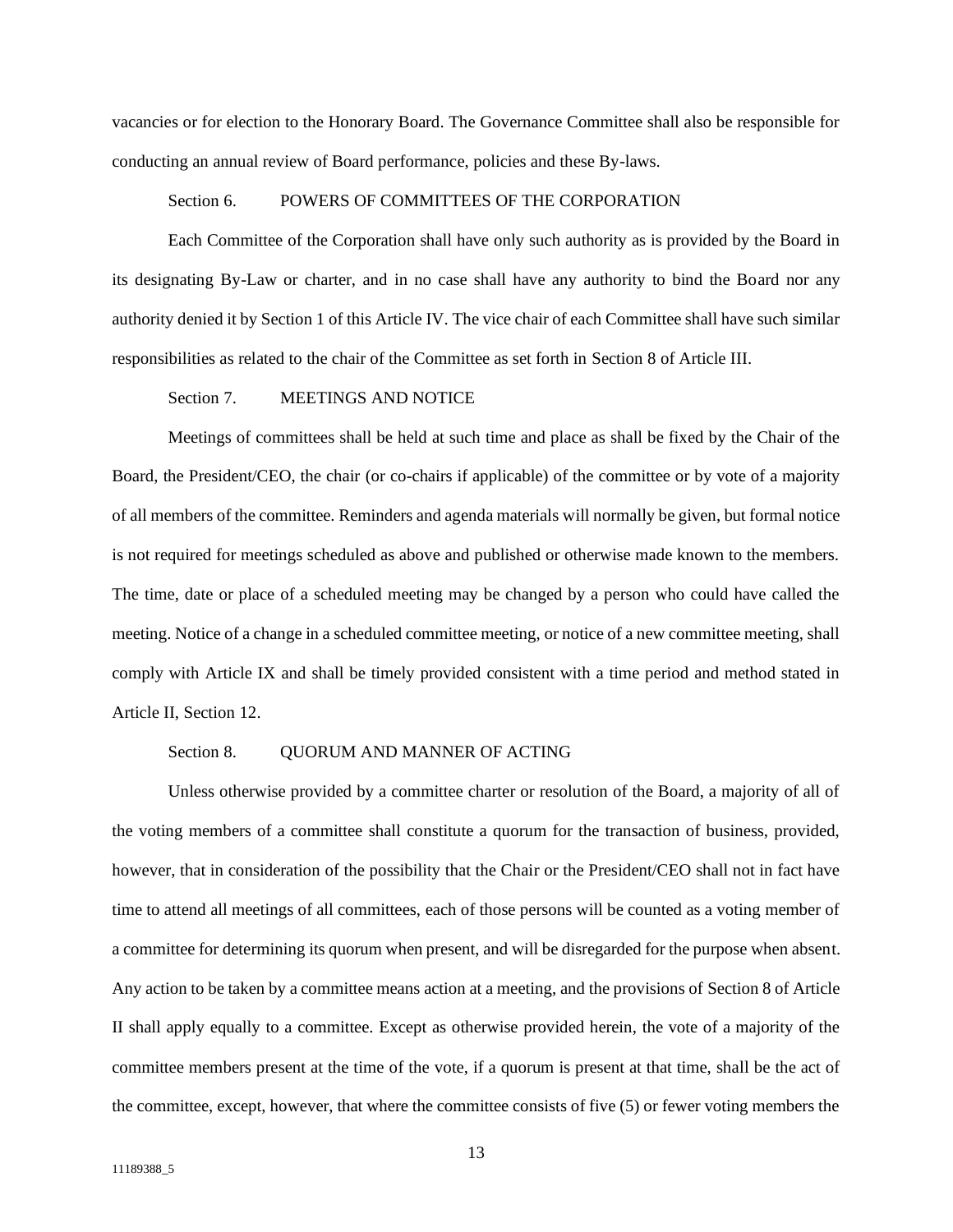vacancies or for election to the Honorary Board. The Governance Committee shall also be responsible for conducting an annual review of Board performance, policies and these By-laws.

### Section 6. POWERS OF COMMITTEES OF THE CORPORATION

<span id="page-15-0"></span>Each Committee of the Corporation shall have only such authority as is provided by the Board in its designating By-Law or charter, and in no case shall have any authority to bind the Board nor any authority denied it by Section 1 of this Article IV. The vice chair of each Committee shall have such similar responsibilities as related to the chair of the Committee as set forth in Section 8 of Article III.

## Section 7. MEETINGS AND NOTICE

<span id="page-15-1"></span>Meetings of committees shall be held at such time and place as shall be fixed by the Chair of the Board, the President/CEO, the chair (or co-chairs if applicable) of the committee or by vote of a majority of all members of the committee. Reminders and agenda materials will normally be given, but formal notice is not required for meetings scheduled as above and published or otherwise made known to the members. The time, date or place of a scheduled meeting may be changed by a person who could have called the meeting. Notice of a change in a scheduled committee meeting, or notice of a new committee meeting, shall comply with Article IX and shall be timely provided consistent with a time period and method stated in Article II, Section 12.

### Section 8. OUORUM AND MANNER OF ACTING

<span id="page-15-2"></span>Unless otherwise provided by a committee charter or resolution of the Board, a majority of all of the voting members of a committee shall constitute a quorum for the transaction of business, provided, however, that in consideration of the possibility that the Chair or the President/CEO shall not in fact have time to attend all meetings of all committees, each of those persons will be counted as a voting member of a committee for determining its quorum when present, and will be disregarded for the purpose when absent. Any action to be taken by a committee means action at a meeting, and the provisions of Section 8 of Article II shall apply equally to a committee. Except as otherwise provided herein, the vote of a majority of the committee members present at the time of the vote, if a quorum is present at that time, shall be the act of the committee, except, however, that where the committee consists of five (5) or fewer voting members the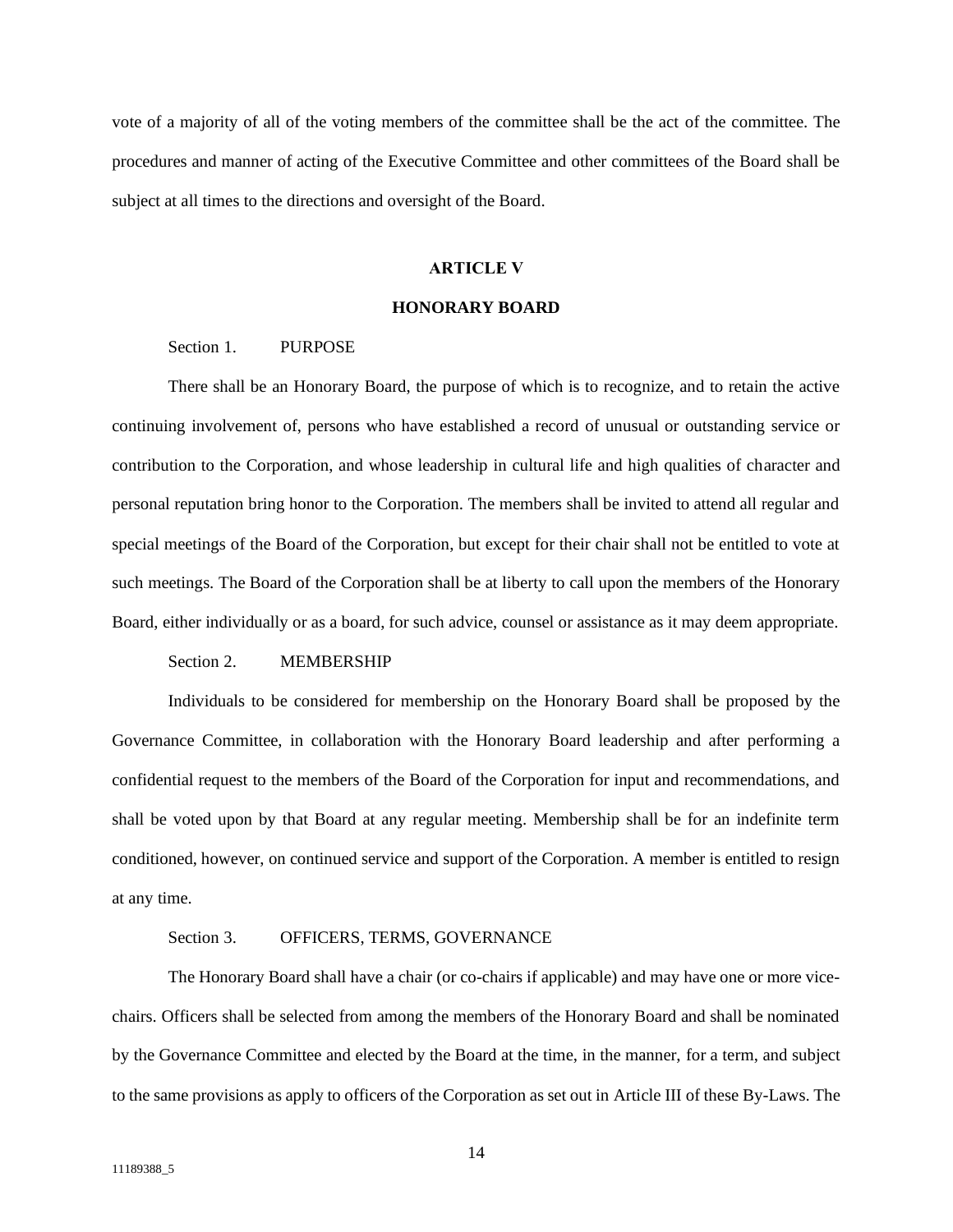vote of a majority of all of the voting members of the committee shall be the act of the committee. The procedures and manner of acting of the Executive Committee and other committees of the Board shall be subject at all times to the directions and oversight of the Board.

## **ARTICLE V**

### **HONORARY BOARD**

## <span id="page-16-0"></span>Section 1. PURPOSE

<span id="page-16-1"></span>There shall be an Honorary Board, the purpose of which is to recognize, and to retain the active continuing involvement of, persons who have established a record of unusual or outstanding service or contribution to the Corporation, and whose leadership in cultural life and high qualities of character and personal reputation bring honor to the Corporation. The members shall be invited to attend all regular and special meetings of the Board of the Corporation, but except for their chair shall not be entitled to vote at such meetings. The Board of the Corporation shall be at liberty to call upon the members of the Honorary Board, either individually or as a board, for such advice, counsel or assistance as it may deem appropriate.

#### Section 2. MEMBERSHIP

<span id="page-16-2"></span>Individuals to be considered for membership on the Honorary Board shall be proposed by the Governance Committee, in collaboration with the Honorary Board leadership and after performing a confidential request to the members of the Board of the Corporation for input and recommendations, and shall be voted upon by that Board at any regular meeting. Membership shall be for an indefinite term conditioned, however, on continued service and support of the Corporation. A member is entitled to resign at any time.

## Section 3. OFFICERS, TERMS, GOVERNANCE

<span id="page-16-3"></span>The Honorary Board shall have a chair (or co-chairs if applicable) and may have one or more vicechairs. Officers shall be selected from among the members of the Honorary Board and shall be nominated by the Governance Committee and elected by the Board at the time, in the manner, for a term, and subject to the same provisions as apply to officers of the Corporation as set out in Article III of these By-Laws. The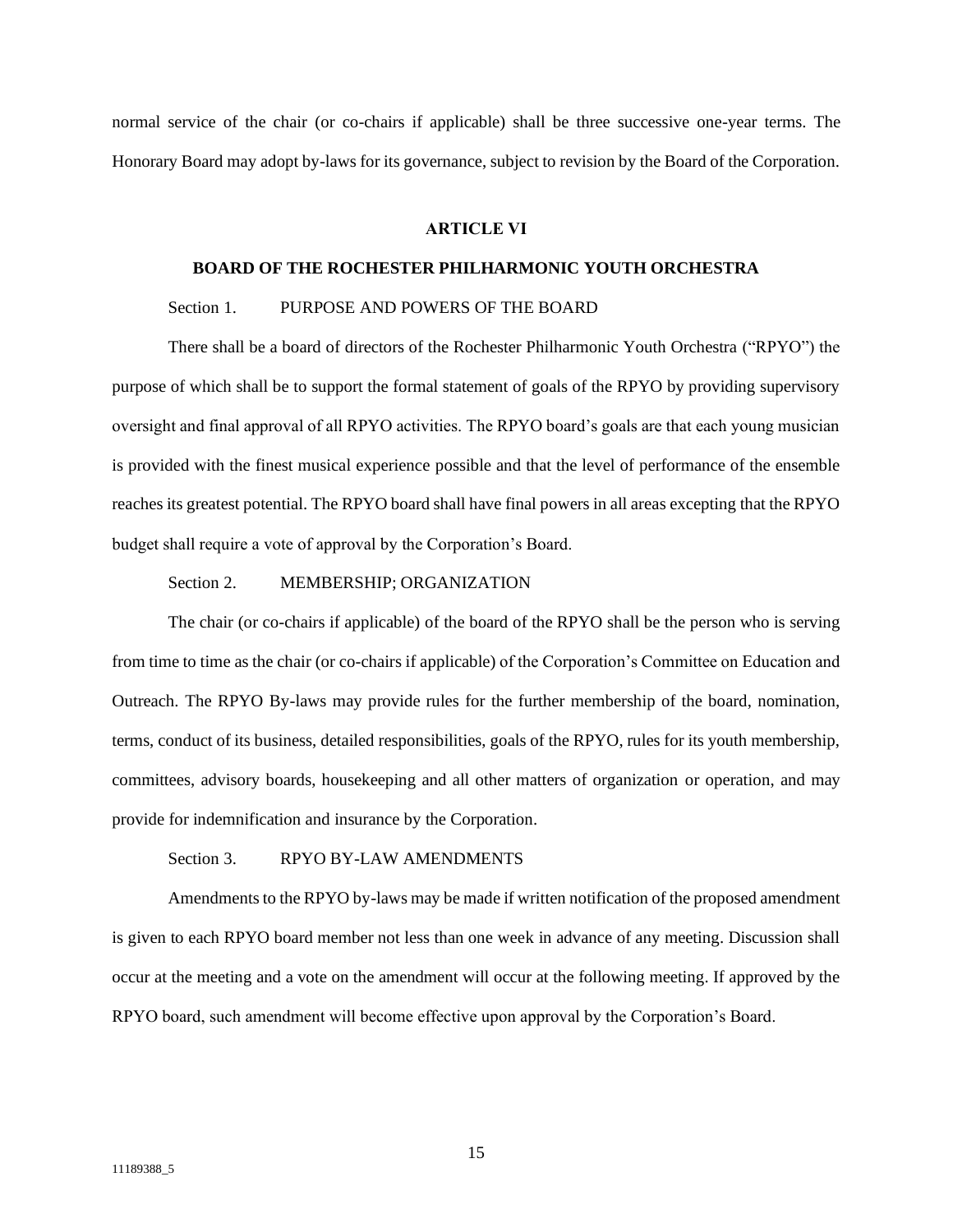normal service of the chair (or co-chairs if applicable) shall be three successive one-year terms. The Honorary Board may adopt by-laws for its governance, subject to revision by the Board of the Corporation.

#### **ARTICLE VI**

## **BOARD OF THE ROCHESTER PHILHARMONIC YOUTH ORCHESTRA**

# <span id="page-17-0"></span>Section 1. PURPOSE AND POWERS OF THE BOARD

<span id="page-17-1"></span>There shall be a board of directors of the Rochester Philharmonic Youth Orchestra ("RPYO") the purpose of which shall be to support the formal statement of goals of the RPYO by providing supervisory oversight and final approval of all RPYO activities. The RPYO board's goals are that each young musician is provided with the finest musical experience possible and that the level of performance of the ensemble reaches its greatest potential. The RPYO board shall have final powers in all areas excepting that the RPYO budget shall require a vote of approval by the Corporation's Board.

### Section 2. MEMBERSHIP; ORGANIZATION

<span id="page-17-2"></span>The chair (or co-chairs if applicable) of the board of the RPYO shall be the person who is serving from time to time as the chair (or co-chairs if applicable) of the Corporation's Committee on Education and Outreach. The RPYO By-laws may provide rules for the further membership of the board, nomination, terms, conduct of its business, detailed responsibilities, goals of the RPYO, rules for its youth membership, committees, advisory boards, housekeeping and all other matters of organization or operation, and may provide for indemnification and insurance by the Corporation.

#### Section 3. RPYO BY-LAW AMENDMENTS

<span id="page-17-3"></span>Amendments to the RPYO by-laws may be made if written notification of the proposed amendment is given to each RPYO board member not less than one week in advance of any meeting. Discussion shall occur at the meeting and a vote on the amendment will occur at the following meeting. If approved by the RPYO board, such amendment will become effective upon approval by the Corporation's Board.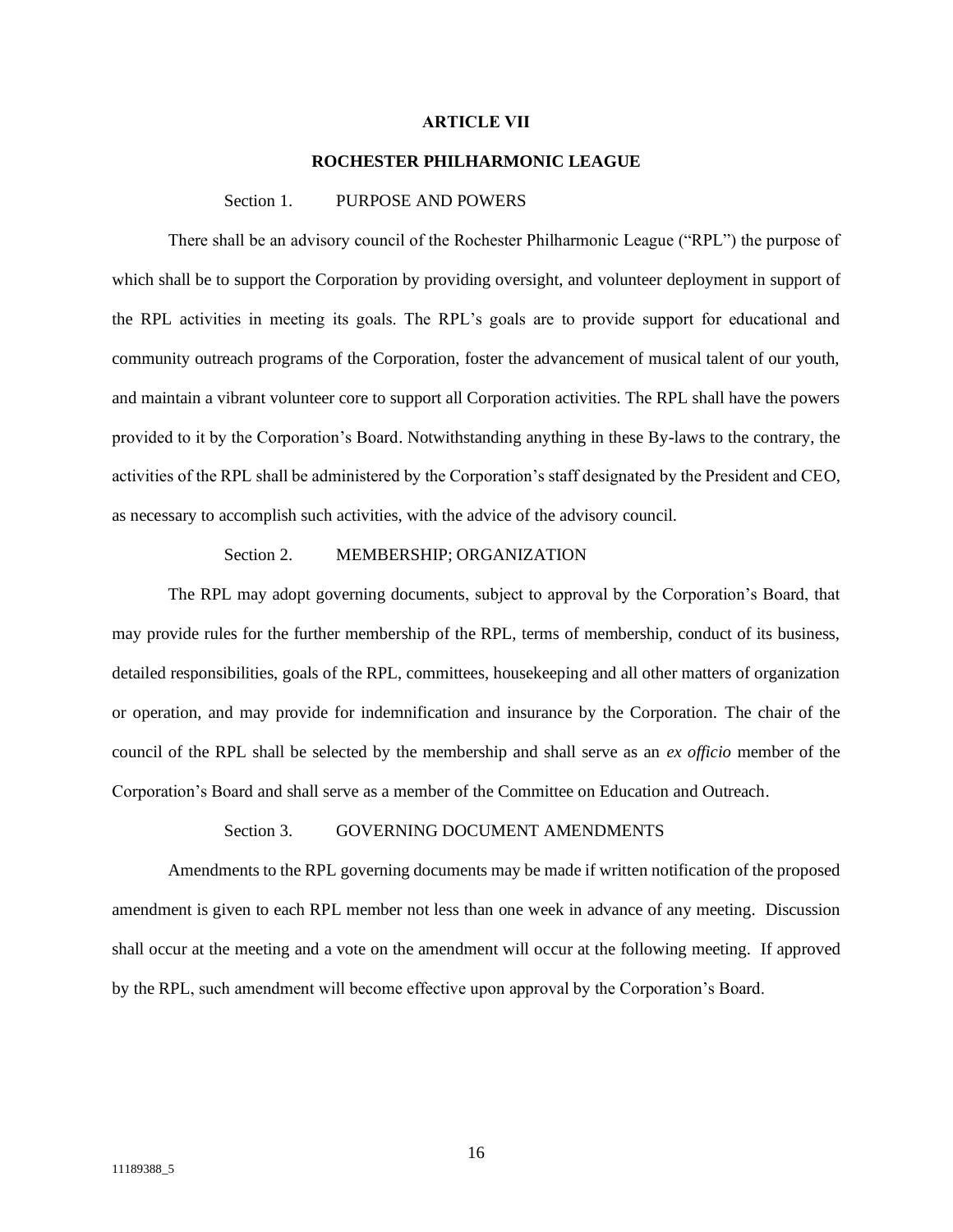#### **ARTICLE VII**

#### **ROCHESTER PHILHARMONIC LEAGUE**

### Section 1. PURPOSE AND POWERS

<span id="page-18-1"></span><span id="page-18-0"></span>There shall be an advisory council of the Rochester Philharmonic League ("RPL") the purpose of which shall be to support the Corporation by providing oversight, and volunteer deployment in support of the RPL activities in meeting its goals. The RPL's goals are to provide support for educational and community outreach programs of the Corporation, foster the advancement of musical talent of our youth, and maintain a vibrant volunteer core to support all Corporation activities. The RPL shall have the powers provided to it by the Corporation's Board. Notwithstanding anything in these By-laws to the contrary, the activities of the RPL shall be administered by the Corporation's staff designated by the President and CEO, as necessary to accomplish such activities, with the advice of the advisory council.

# Section 2. MEMBERSHIP; ORGANIZATION

<span id="page-18-2"></span>The RPL may adopt governing documents, subject to approval by the Corporation's Board, that may provide rules for the further membership of the RPL, terms of membership, conduct of its business, detailed responsibilities, goals of the RPL, committees, housekeeping and all other matters of organization or operation, and may provide for indemnification and insurance by the Corporation. The chair of the council of the RPL shall be selected by the membership and shall serve as an *ex officio* member of the Corporation's Board and shall serve as a member of the Committee on Education and Outreach.

## Section 3. GOVERNING DOCUMENT AMENDMENTS

<span id="page-18-3"></span>Amendments to the RPL governing documents may be made if written notification of the proposed amendment is given to each RPL member not less than one week in advance of any meeting. Discussion shall occur at the meeting and a vote on the amendment will occur at the following meeting. If approved by the RPL, such amendment will become effective upon approval by the Corporation's Board.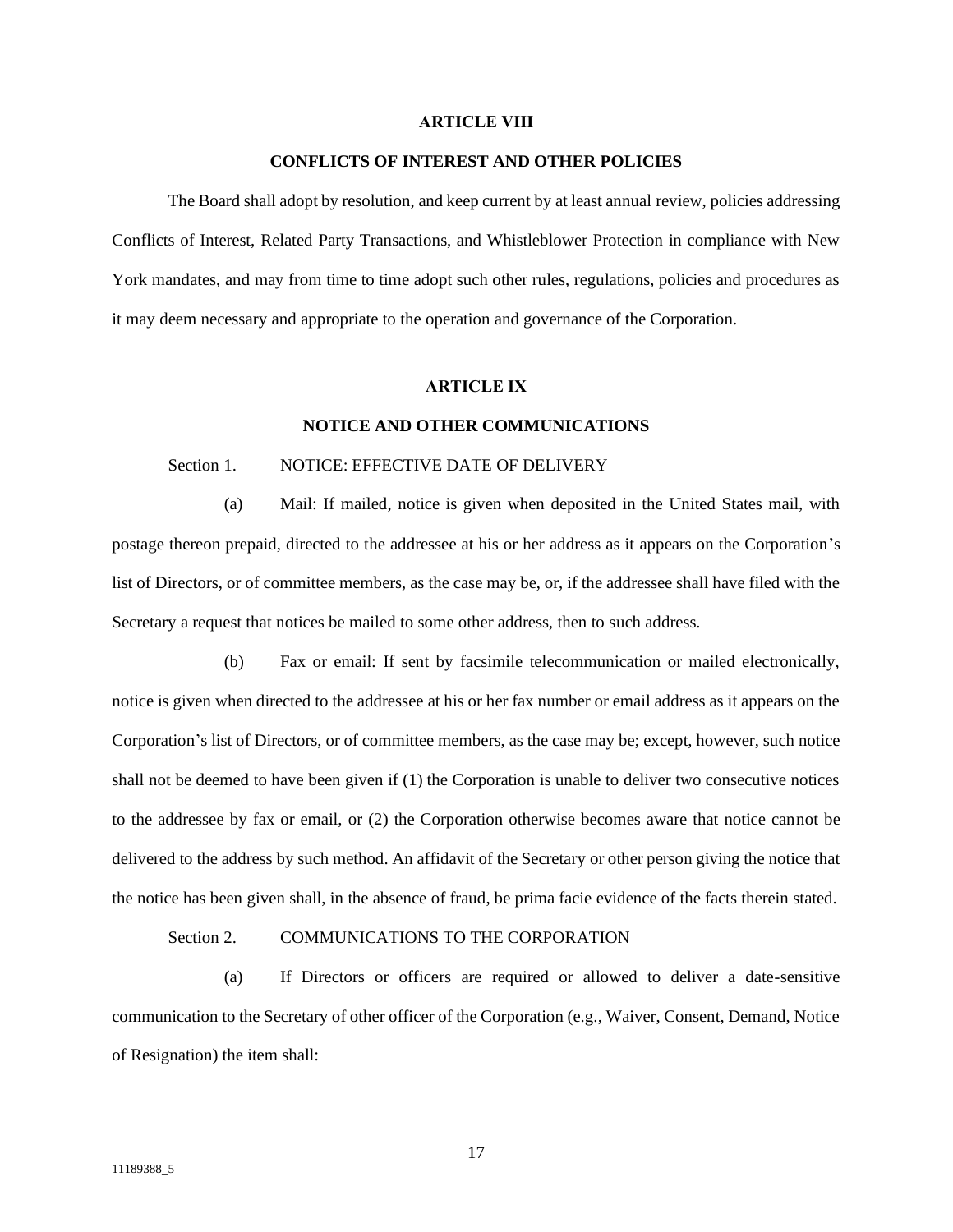#### **ARTICLE VIII**

#### **CONFLICTS OF INTEREST AND OTHER POLICIES**

<span id="page-19-0"></span>The Board shall adopt by resolution, and keep current by at least annual review, policies addressing Conflicts of Interest, Related Party Transactions, and Whistleblower Protection in compliance with New York mandates, and may from time to time adopt such other rules, regulations, policies and procedures as it may deem necessary and appropriate to the operation and governance of the Corporation.

## **ARTICLE IX**

#### **NOTICE AND OTHER COMMUNICATIONS**

# <span id="page-19-1"></span>Section 1. NOTICE: EFFECTIVE DATE OF DELIVERY

<span id="page-19-2"></span>(a) Mail: If mailed, notice is given when deposited in the United States mail, with postage thereon prepaid, directed to the addressee at his or her address as it appears on the Corporation's list of Directors, or of committee members, as the case may be, or, if the addressee shall have filed with the Secretary a request that notices be mailed to some other address, then to such address.

(b) Fax or email: If sent by facsimile telecommunication or mailed electronically, notice is given when directed to the addressee at his or her fax number or email address as it appears on the Corporation's list of Directors, or of committee members, as the case may be; except, however, such notice shall not be deemed to have been given if (1) the Corporation is unable to deliver two consecutive notices to the addressee by fax or email, or (2) the Corporation otherwise becomes aware that notice cannot be delivered to the address by such method. An affidavit of the Secretary or other person giving the notice that the notice has been given shall, in the absence of fraud, be prima facie evidence of the facts therein stated.

## Section 2. COMMUNICATIONS TO THE CORPORATION

<span id="page-19-3"></span>(a) If Directors or officers are required or allowed to deliver a date-sensitive communication to the Secretary of other officer of the Corporation (e.g., Waiver, Consent, Demand, Notice of Resignation) the item shall: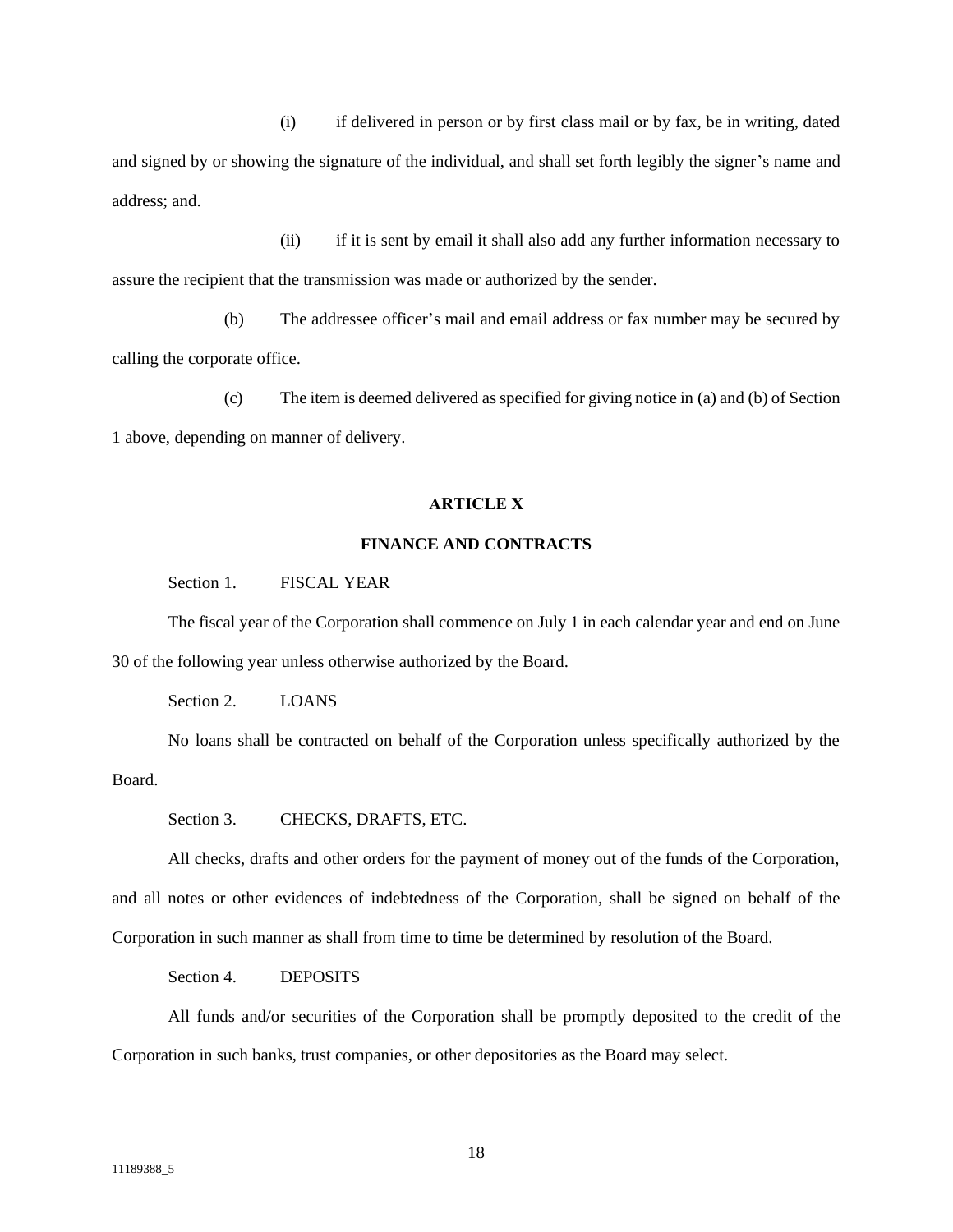(i) if delivered in person or by first class mail or by fax, be in writing, dated and signed by or showing the signature of the individual, and shall set forth legibly the signer's name and address; and.

(ii) if it is sent by email it shall also add any further information necessary to assure the recipient that the transmission was made or authorized by the sender.

(b) The addressee officer's mail and email address or fax number may be secured by calling the corporate office.

(c) The item is deemed delivered as specified for giving notice in (a) and (b) of Section 1 above, depending on manner of delivery.

## **ARTICLE X**

# **FINANCE AND CONTRACTS**

<span id="page-20-0"></span>Section 1. FISCAL YEAR

<span id="page-20-1"></span>The fiscal year of the Corporation shall commence on July 1 in each calendar year and end on June 30 of the following year unless otherwise authorized by the Board.

Section 2. LOANS

<span id="page-20-2"></span>No loans shall be contracted on behalf of the Corporation unless specifically authorized by the Board.

Section 3. CHECKS, DRAFTS, ETC.

<span id="page-20-3"></span>All checks, drafts and other orders for the payment of money out of the funds of the Corporation, and all notes or other evidences of indebtedness of the Corporation, shall be signed on behalf of the Corporation in such manner as shall from time to time be determined by resolution of the Board.

Section 4. **DEPOSITS** 

<span id="page-20-4"></span>All funds and/or securities of the Corporation shall be promptly deposited to the credit of the Corporation in such banks, trust companies, or other depositories as the Board may select.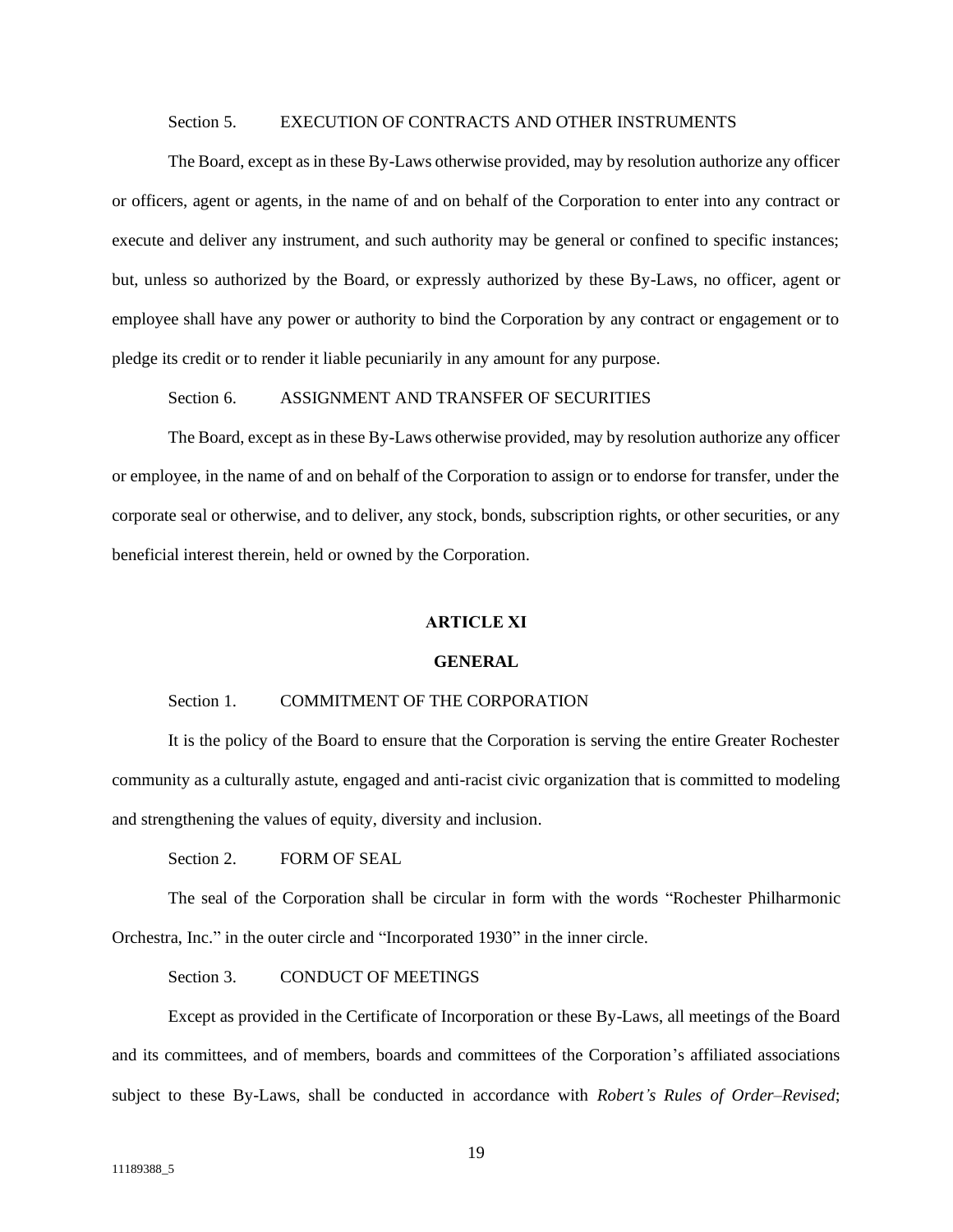## Section 5. EXECUTION OF CONTRACTS AND OTHER INSTRUMENTS

<span id="page-21-0"></span>The Board, except as in these By-Laws otherwise provided, may by resolution authorize any officer or officers, agent or agents, in the name of and on behalf of the Corporation to enter into any contract or execute and deliver any instrument, and such authority may be general or confined to specific instances; but, unless so authorized by the Board, or expressly authorized by these By-Laws, no officer, agent or employee shall have any power or authority to bind the Corporation by any contract or engagement or to pledge its credit or to render it liable pecuniarily in any amount for any purpose.

Section 6. ASSIGNMENT AND TRANSFER OF SECURITIES

<span id="page-21-1"></span>The Board, except as in these By-Laws otherwise provided, may by resolution authorize any officer or employee, in the name of and on behalf of the Corporation to assign or to endorse for transfer, under the corporate seal or otherwise, and to deliver, any stock, bonds, subscription rights, or other securities, or any beneficial interest therein, held or owned by the Corporation.

### **ARTICLE XI**

### **GENERAL**

# <span id="page-21-2"></span>Section 1. COMMITMENT OF THE CORPORATION

<span id="page-21-3"></span>It is the policy of the Board to ensure that the Corporation is serving the entire Greater Rochester community as a culturally astute, engaged and anti-racist civic organization that is committed to modeling and strengthening the values of equity, diversity and inclusion.

Section 2. FORM OF SEAL

<span id="page-21-4"></span>The seal of the Corporation shall be circular in form with the words "Rochester Philharmonic Orchestra, Inc." in the outer circle and "Incorporated 1930" in the inner circle.

Section 3. CONDUCT OF MEETINGS

<span id="page-21-5"></span>Except as provided in the Certificate of Incorporation or these By-Laws, all meetings of the Board and its committees, and of members, boards and committees of the Corporation's affiliated associations subject to these By-Laws, shall be conducted in accordance with *Robert's Rules of Order–Revised*;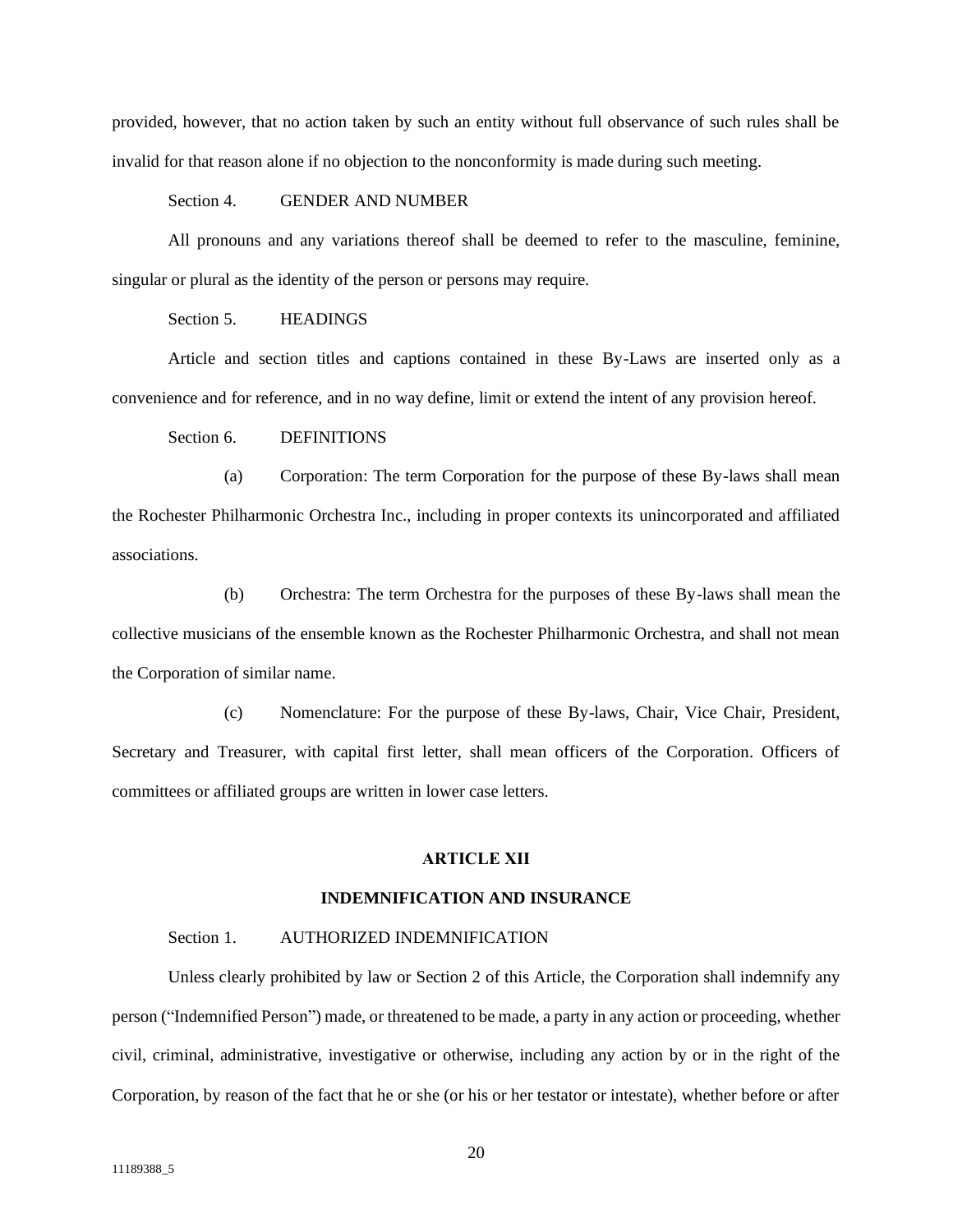provided, however, that no action taken by such an entity without full observance of such rules shall be invalid for that reason alone if no objection to the nonconformity is made during such meeting.

### Section 4. GENDER AND NUMBER

<span id="page-22-0"></span>All pronouns and any variations thereof shall be deemed to refer to the masculine, feminine, singular or plural as the identity of the person or persons may require.

# Section 5. **HEADINGS**

<span id="page-22-1"></span>Article and section titles and captions contained in these By-Laws are inserted only as a convenience and for reference, and in no way define, limit or extend the intent of any provision hereof.

# Section 6. DEFINITIONS

<span id="page-22-2"></span>(a) Corporation: The term Corporation for the purpose of these By-laws shall mean the Rochester Philharmonic Orchestra Inc., including in proper contexts its unincorporated and affiliated associations.

(b) Orchestra: The term Orchestra for the purposes of these By-laws shall mean the collective musicians of the ensemble known as the Rochester Philharmonic Orchestra, and shall not mean the Corporation of similar name.

(c) Nomenclature: For the purpose of these By-laws, Chair, Vice Chair, President, Secretary and Treasurer, with capital first letter, shall mean officers of the Corporation. Officers of committees or affiliated groups are written in lower case letters.

### **ARTICLE XII**

# **INDEMNIFICATION AND INSURANCE**

## <span id="page-22-3"></span>Section 1. AUTHORIZED INDEMNIFICATION

<span id="page-22-4"></span>Unless clearly prohibited by law or Section 2 of this Article, the Corporation shall indemnify any person ("Indemnified Person") made, or threatened to be made, a party in any action or proceeding, whether civil, criminal, administrative, investigative or otherwise, including any action by or in the right of the Corporation, by reason of the fact that he or she (or his or her testator or intestate), whether before or after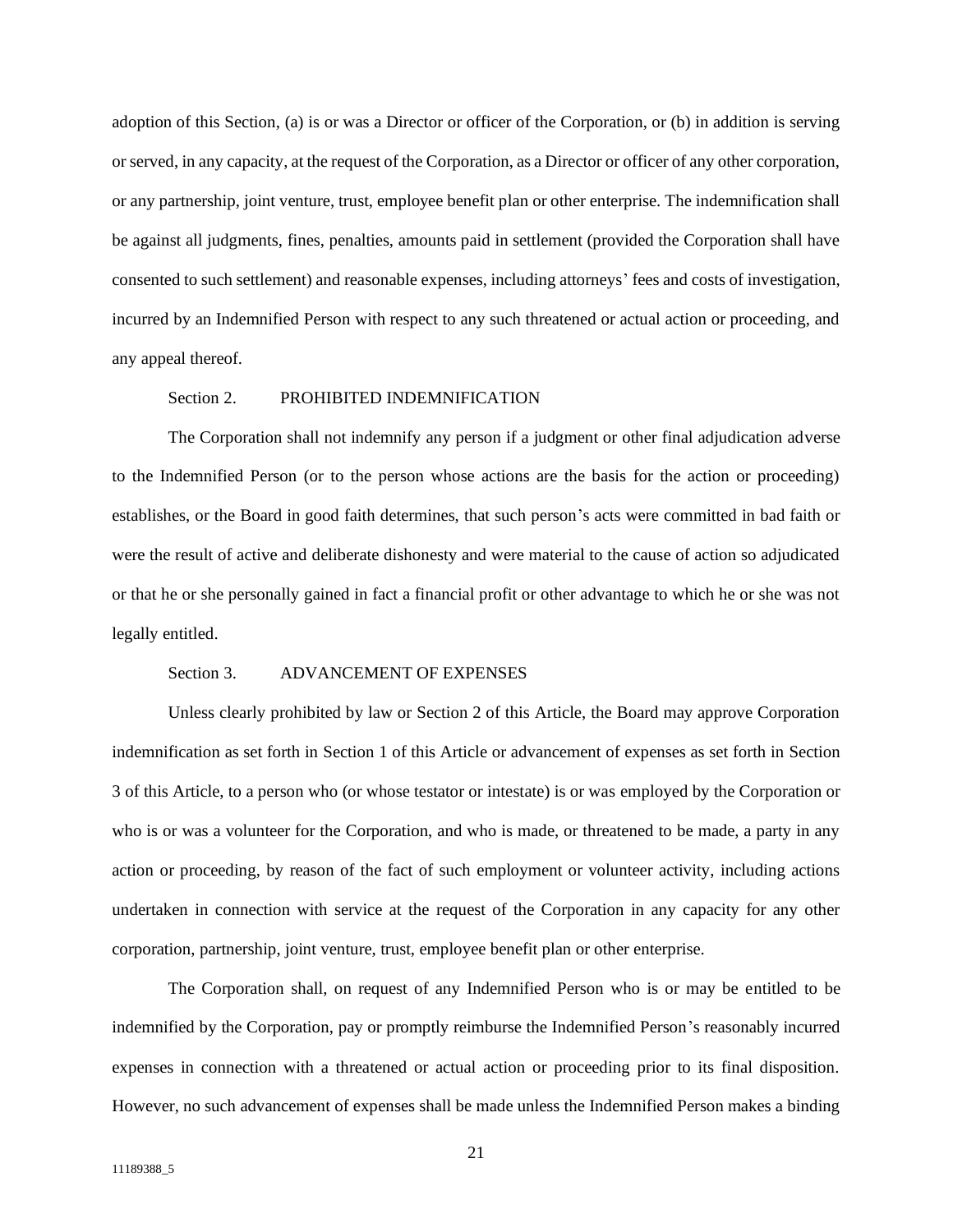adoption of this Section, (a) is or was a Director or officer of the Corporation, or (b) in addition is serving or served, in any capacity, at the request of the Corporation, as a Director or officer of any other corporation, or any partnership, joint venture, trust, employee benefit plan or other enterprise. The indemnification shall be against all judgments, fines, penalties, amounts paid in settlement (provided the Corporation shall have consented to such settlement) and reasonable expenses, including attorneys' fees and costs of investigation, incurred by an Indemnified Person with respect to any such threatened or actual action or proceeding, and any appeal thereof.

## Section 2. PROHIBITED INDEMNIFICATION

<span id="page-23-0"></span>The Corporation shall not indemnify any person if a judgment or other final adjudication adverse to the Indemnified Person (or to the person whose actions are the basis for the action or proceeding) establishes, or the Board in good faith determines, that such person's acts were committed in bad faith or were the result of active and deliberate dishonesty and were material to the cause of action so adjudicated or that he or she personally gained in fact a financial profit or other advantage to which he or she was not legally entitled.

#### Section 3. ADVANCEMENT OF EXPENSES

<span id="page-23-1"></span>Unless clearly prohibited by law or Section 2 of this Article, the Board may approve Corporation indemnification as set forth in Section 1 of this Article or advancement of expenses as set forth in Section 3 of this Article, to a person who (or whose testator or intestate) is or was employed by the Corporation or who is or was a volunteer for the Corporation, and who is made, or threatened to be made, a party in any action or proceeding, by reason of the fact of such employment or volunteer activity, including actions undertaken in connection with service at the request of the Corporation in any capacity for any other corporation, partnership, joint venture, trust, employee benefit plan or other enterprise.

The Corporation shall, on request of any Indemnified Person who is or may be entitled to be indemnified by the Corporation, pay or promptly reimburse the Indemnified Person's reasonably incurred expenses in connection with a threatened or actual action or proceeding prior to its final disposition. However, no such advancement of expenses shall be made unless the Indemnified Person makes a binding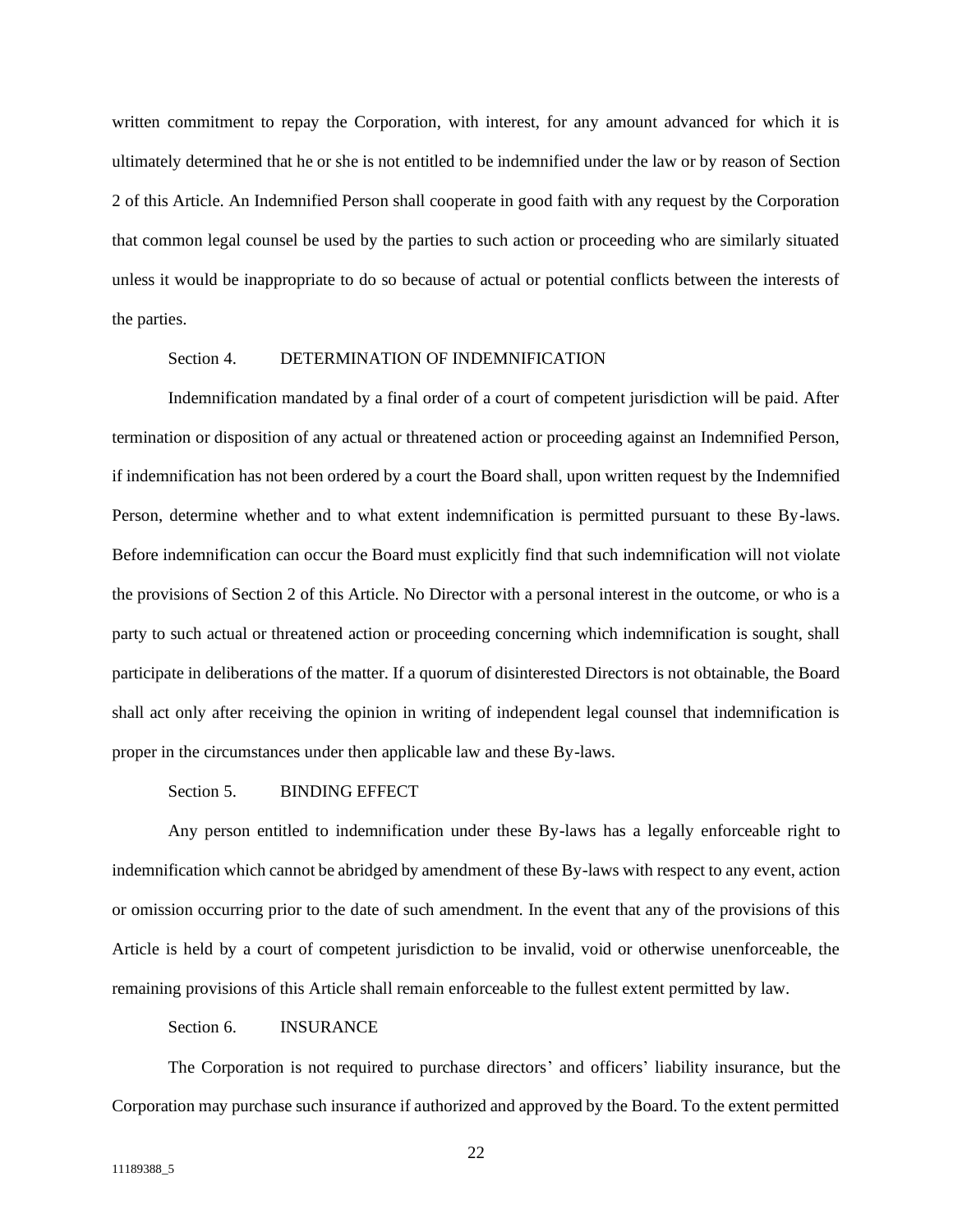written commitment to repay the Corporation, with interest, for any amount advanced for which it is ultimately determined that he or she is not entitled to be indemnified under the law or by reason of Section 2 of this Article. An Indemnified Person shall cooperate in good faith with any request by the Corporation that common legal counsel be used by the parties to such action or proceeding who are similarly situated unless it would be inappropriate to do so because of actual or potential conflicts between the interests of the parties.

# Section 4. DETERMINATION OF INDEMNIFICATION

<span id="page-24-0"></span>Indemnification mandated by a final order of a court of competent jurisdiction will be paid. After termination or disposition of any actual or threatened action or proceeding against an Indemnified Person, if indemnification has not been ordered by a court the Board shall, upon written request by the Indemnified Person, determine whether and to what extent indemnification is permitted pursuant to these By-laws. Before indemnification can occur the Board must explicitly find that such indemnification will not violate the provisions of Section 2 of this Article. No Director with a personal interest in the outcome, or who is a party to such actual or threatened action or proceeding concerning which indemnification is sought, shall participate in deliberations of the matter. If a quorum of disinterested Directors is not obtainable, the Board shall act only after receiving the opinion in writing of independent legal counsel that indemnification is proper in the circumstances under then applicable law and these By-laws.

# Section 5. BINDING EFFECT

<span id="page-24-1"></span>Any person entitled to indemnification under these By-laws has a legally enforceable right to indemnification which cannot be abridged by amendment of these By-laws with respect to any event, action or omission occurring prior to the date of such amendment. In the event that any of the provisions of this Article is held by a court of competent jurisdiction to be invalid, void or otherwise unenforceable, the remaining provisions of this Article shall remain enforceable to the fullest extent permitted by law.

## Section 6. **INSURANCE**

<span id="page-24-2"></span>The Corporation is not required to purchase directors' and officers' liability insurance, but the Corporation may purchase such insurance if authorized and approved by the Board. To the extent permitted